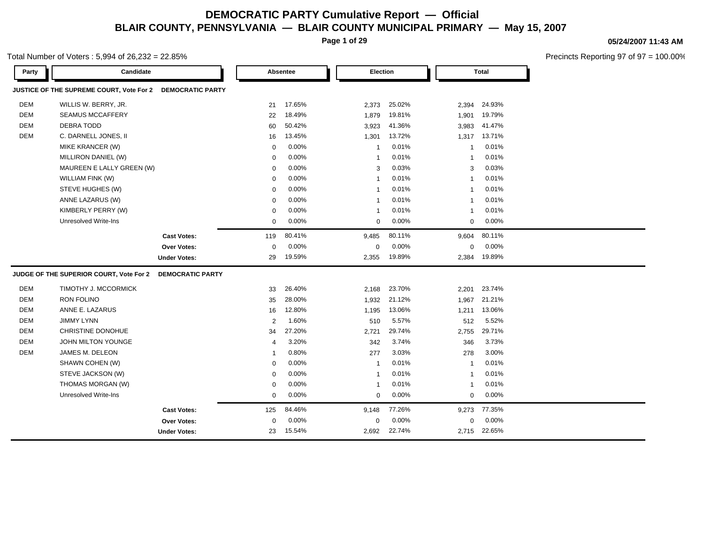**Page 1 of 29**

#### Total Number of Voters : 5,994 of 26,232 = 22.85%

**05/24/2007 11:43 AM**

| Party      | Candidate                                |                         |                | Absentee | <b>Election</b> |        |                | <b>Total</b> |
|------------|------------------------------------------|-------------------------|----------------|----------|-----------------|--------|----------------|--------------|
|            | JUSTICE OF THE SUPREME COURT, Vote For 2 | <b>DEMOCRATIC PARTY</b> |                |          |                 |        |                |              |
| DEM        | WILLIS W. BERRY, JR.                     |                         | 21             | 17.65%   | 2,373           | 25.02% | 2,394          | 24.93%       |
| <b>DEM</b> | <b>SEAMUS MCCAFFERY</b>                  |                         | 22             | 18.49%   | 1,879           | 19.81% | 1,901          | 19.79%       |
| <b>DEM</b> | DEBRA TODD                               |                         | 60             | 50.42%   | 3,923           | 41.36% | 3,983          | 41.47%       |
| <b>DEM</b> | C. DARNELL JONES, II                     |                         | 16             | 13.45%   | 1,301           | 13.72% | 1,317          | 13.71%       |
|            | MIKE KRANCER (W)                         |                         | $\mathbf 0$    | 0.00%    | $\mathbf{1}$    | 0.01%  | 1              | 0.01%        |
|            | MILLIRON DANIEL (W)                      |                         | $\mathbf 0$    | 0.00%    | $\mathbf{1}$    | 0.01%  | $\mathbf{1}$   | 0.01%        |
|            | MAUREEN E LALLY GREEN (W)                |                         | $\mathbf 0$    | 0.00%    | 3               | 0.03%  | 3              | 0.03%        |
|            | WILLIAM FINK (W)                         |                         | 0              | 0.00%    | $\mathbf{1}$    | 0.01%  | -1             | 0.01%        |
|            | STEVE HUGHES (W)                         |                         | $\mathbf 0$    | 0.00%    | $\mathbf{1}$    | 0.01%  | -1             | 0.01%        |
|            | ANNE LAZARUS (W)                         |                         | $\mathbf 0$    | 0.00%    | $\mathbf{1}$    | 0.01%  | $\mathbf{1}$   | 0.01%        |
|            | KIMBERLY PERRY (W)                       |                         | $\Omega$       | 0.00%    | $\mathbf{1}$    | 0.01%  | $\mathbf{1}$   | 0.01%        |
|            | Unresolved Write-Ins                     |                         | $\mathbf 0$    | 0.00%    | $\mathbf 0$     | 0.00%  | 0              | 0.00%        |
|            |                                          | <b>Cast Votes:</b>      | 119            | 80.41%   | 9,485           | 80.11% | 9,604          | 80.11%       |
|            |                                          | Over Votes:             | $\mathbf 0$    | 0.00%    | 0               | 0.00%  | 0              | 0.00%        |
|            |                                          | <b>Under Votes:</b>     | 29             | 19.59%   | 2,355           | 19.89% | 2,384          | 19.89%       |
|            | JUDGE OF THE SUPERIOR COURT, Vote For 2  | <b>DEMOCRATIC PARTY</b> |                |          |                 |        |                |              |
| <b>DEM</b> | TIMOTHY J. MCCORMICK                     |                         | 33             | 26.40%   | 2,168           | 23.70% | 2,201          | 23.74%       |
| <b>DEM</b> | RON FOLINO                               |                         | 35             | 28.00%   | 1,932           | 21.12% | 1,967          | 21.21%       |
| <b>DEM</b> | ANNE E. LAZARUS                          |                         | 16             | 12.80%   | 1,195           | 13.06% | 1,211          | 13.06%       |
| <b>DEM</b> | <b>JIMMY LYNN</b>                        |                         | $\overline{2}$ | 1.60%    | 510             | 5.57%  | 512            | 5.52%        |
| <b>DEM</b> | CHRISTINE DONOHUE                        |                         | 34             | 27.20%   | 2,721           | 29.74% | 2,755          | 29.71%       |
| <b>DEM</b> | <b>JOHN MILTON YOUNGE</b>                |                         | 4              | 3.20%    | 342             | 3.74%  | 346            | 3.73%        |
| <b>DEM</b> | JAMES M. DELEON                          |                         | $\mathbf{1}$   | 0.80%    | 277             | 3.03%  | 278            | 3.00%        |
|            | SHAWN COHEN (W)                          |                         | $\mathbf 0$    | 0.00%    | $\mathbf{1}$    | 0.01%  | $\overline{1}$ | 0.01%        |
|            | STEVE JACKSON (W)                        |                         | 0              | 0.00%    | $\mathbf{1}$    | 0.01%  | $\mathbf{1}$   | 0.01%        |
|            | THOMAS MORGAN (W)                        |                         | 0              | 0.00%    | $\mathbf{1}$    | 0.01%  | -1             | 0.01%        |
|            | <b>Unresolved Write-Ins</b>              |                         | $\mathbf 0$    | 0.00%    | $\mathbf 0$     | 0.00%  | 0              | 0.00%        |
|            |                                          | <b>Cast Votes:</b>      | 125            | 84.46%   | 9,148           | 77.26% | 9,273          | 77.35%       |
|            |                                          | <b>Over Votes:</b>      | $\Omega$       | 0.00%    | 0               | 0.00%  | 0              | 0.00%        |
|            |                                          | <b>Under Votes:</b>     | 23             | 15.54%   | 2,692           | 22.74% |                | 2,715 22.65% |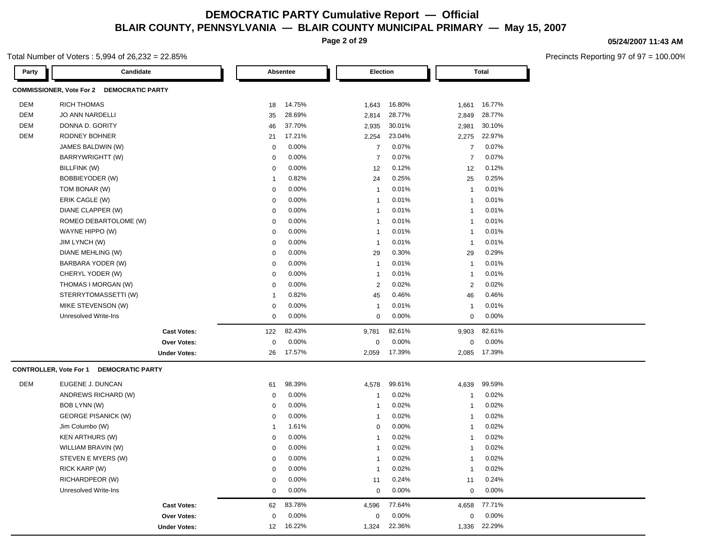**Page 2 of 29**

#### Total Number of Voters : 5,994 of 26,232 = 22.85%

| Party      | Candidate                                 |                | Absentee | Election       |        |                | <b>Total</b> |
|------------|-------------------------------------------|----------------|----------|----------------|--------|----------------|--------------|
|            | COMMISSIONER, Vote For 2 DEMOCRATIC PARTY |                |          |                |        |                |              |
| DEM        | <b>RICH THOMAS</b>                        | 18             | 14.75%   | 1,643          | 16.80% | 1,661          | 16.77%       |
| <b>DEM</b> | <b>JO ANN NARDELLI</b>                    | 35             | 28.69%   | 2,814          | 28.77% | 2,849          | 28.77%       |
| <b>DEM</b> | DONNA D. GORITY                           | 46             | 37.70%   | 2,935          | 30.01% | 2,981          | 30.10%       |
| <b>DEM</b> | RODNEY BOHNER                             | 21             | 17.21%   | 2,254          | 23.04% | 2,275          | 22.97%       |
|            | JAMES BALDWIN (W)                         | $\mathbf 0$    | 0.00%    | $\overline{7}$ | 0.07%  | $\overline{7}$ | 0.07%        |
|            | BARRYWRIGHTT (W)                          | $\mathbf 0$    | 0.00%    | $\overline{7}$ | 0.07%  | $\overline{7}$ | 0.07%        |
|            | BILLFINK (W)                              | $\mathbf 0$    | 0.00%    | 12             | 0.12%  | 12             | 0.12%        |
|            | <b>BOBBIEYODER (W)</b>                    | $\overline{1}$ | 0.82%    | 24             | 0.25%  | 25             | 0.25%        |
|            | TOM BONAR (W)                             | $\mathbf 0$    | 0.00%    | -1             | 0.01%  | $\mathbf{1}$   | 0.01%        |
|            | ERIK CAGLE (W)                            | $\mathbf 0$    | 0.00%    | $\mathbf{1}$   | 0.01%  | $\mathbf{1}$   | 0.01%        |
|            | DIANE CLAPPER (W)                         | 0              | 0.00%    | 1              | 0.01%  | $\overline{1}$ | 0.01%        |
|            | ROMEO DEBARTOLOME (W)                     | $\mathbf 0$    | 0.00%    | 1              | 0.01%  | $\overline{1}$ | 0.01%        |
|            | WAYNE HIPPO (W)                           | $\mathbf 0$    | 0.00%    | $\mathbf{1}$   | 0.01%  | $\mathbf{1}$   | 0.01%        |
|            | JIM LYNCH (W)                             | $\mathbf 0$    | 0.00%    | $\mathbf{1}$   | 0.01%  | $\mathbf{1}$   | 0.01%        |
|            | DIANE MEHLING (W)                         | $\mathbf 0$    | 0.00%    | 29             | 0.30%  | 29             | 0.29%        |
|            | BARBARA YODER (W)                         | $\mathbf 0$    | 0.00%    | $\mathbf{1}$   | 0.01%  | $\mathbf{1}$   | 0.01%        |
|            | CHERYL YODER (W)                          | $\mathbf 0$    | 0.00%    | $\mathbf{1}$   | 0.01%  | $\overline{1}$ | 0.01%        |
|            | THOMAS I MORGAN (W)                       | $\Omega$       | 0.00%    | $\overline{2}$ | 0.02%  | 2              | 0.02%        |
|            | STERRYTOMASSETTI (W)                      | $\overline{1}$ | 0.82%    | 45             | 0.46%  | 46             | 0.46%        |
|            | MIKE STEVENSON (W)                        | 0              | 0.00%    | $\mathbf{1}$   | 0.01%  | $\mathbf{1}$   | 0.01%        |
|            | <b>Unresolved Write-Ins</b>               | $\mathbf 0$    | 0.00%    | 0              | 0.00%  | $\mathbf 0$    | 0.00%        |
|            | <b>Cast Votes:</b>                        | 122            | 82.43%   | 9,781          | 82.61% | 9,903          | 82.61%       |
|            | Over Votes:                               | $\mathbf 0$    | 0.00%    | $\mathbf 0$    | 0.00%  | $\mathbf 0$    | 0.00%        |
|            | <b>Under Votes:</b>                       | 26             | 17.57%   | 2,059          | 17.39% | 2,085          | 17.39%       |
|            | CONTROLLER, Vote For 1 DEMOCRATIC PARTY   |                |          |                |        |                |              |
| <b>DEM</b> | EUGENE J. DUNCAN                          | 61             | 98.39%   | 4,578          | 99.61% | 4,639          | 99.59%       |
|            | ANDREWS RICHARD (W)                       | 0              | 0.00%    | -1             | 0.02%  | $\mathbf{1}$   | 0.02%        |
|            | BOB LYNN (W)                              | $\mathbf 0$    | 0.00%    | $\mathbf{1}$   | 0.02%  | $\mathbf{1}$   | 0.02%        |
|            | <b>GEORGE PISANICK (W)</b>                | $\mathbf 0$    | 0.00%    | $\mathbf{1}$   | 0.02%  | $\mathbf 1$    | 0.02%        |
|            | Jim Columbo (W)                           | $\mathbf{1}$   | 1.61%    | $\mathbf 0$    | 0.00%  | $\mathbf{1}$   | 0.02%        |
|            | <b>KEN ARTHURS (W)</b>                    | 0              | 0.00%    | $\mathbf{1}$   | 0.02%  | $\overline{1}$ | 0.02%        |
|            | WILLIAM BRAVIN (W)                        | $\mathbf 0$    | 0.00%    | $\mathbf{1}$   | 0.02%  | $\overline{1}$ | 0.02%        |
|            | STEVEN E MYERS (W)                        | $\mathbf 0$    | 0.00%    | $\mathbf{1}$   | 0.02%  | $\mathbf{1}$   | 0.02%        |
|            | RICK KARP (W)                             | $\mathbf 0$    | 0.00%    | $\mathbf{1}$   | 0.02%  | $\mathbf{1}$   | 0.02%        |
|            | RICHARDPEOR (W)                           | $\mathbf 0$    | 0.00%    | 11             | 0.24%  | 11             | 0.24%        |

Unresolved Write-Ins 0 0.00% 0 0.00% 0 0.00% **Cast Votes:** 62 83.78% 4,596 77.64% 4,658 77.71%

0.00% 0

16.22% 1,324 1,336

22.36% 22.29%

0.00% 0 0.00%

**Over Votes:** 0 0.00% Under Votes: 12 16.22% **05/24/2007 11:43 AM**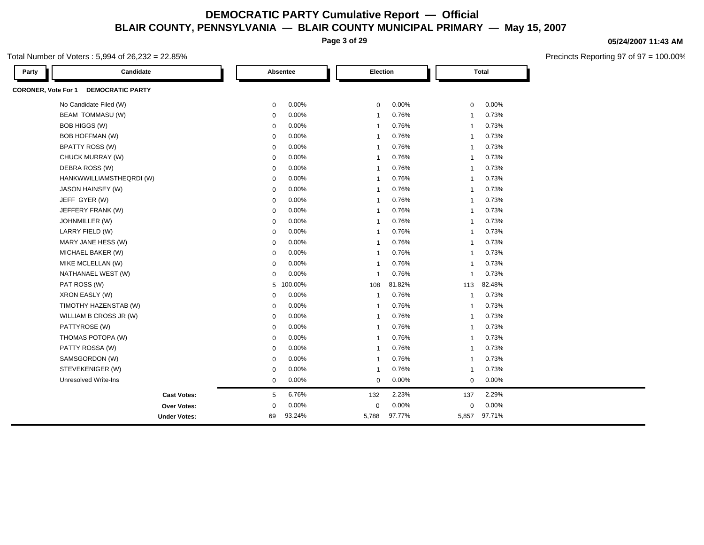**Page 3 of 29**

### Total Number of Voters : 5,994 of 26,232 = 22.85%

| Party                      | Candidate                |             | Absentee | Election                |        |                | <b>Total</b> |  |
|----------------------------|--------------------------|-------------|----------|-------------------------|--------|----------------|--------------|--|
| <b>CORONER, Vote For 1</b> | <b>DEMOCRATIC PARTY</b>  |             |          |                         |        |                |              |  |
|                            | No Candidate Filed (W)   | 0           | 0.00%    | 0                       | 0.00%  | $\mathbf 0$    | 0.00%        |  |
|                            | BEAM TOMMASU (W)         | 0           | 0.00%    | $\overline{1}$          | 0.76%  | $\overline{1}$ | 0.73%        |  |
|                            | BOB HIGGS (W)            | $\mathbf 0$ | 0.00%    | $\overline{1}$          | 0.76%  | $\overline{1}$ | 0.73%        |  |
|                            | <b>BOB HOFFMAN (W)</b>   | $\mathbf 0$ | 0.00%    | $\overline{1}$          | 0.76%  | $\overline{1}$ | 0.73%        |  |
|                            | <b>BPATTY ROSS (W)</b>   | 0           | 0.00%    | $\mathbf{1}$            | 0.76%  | $\mathbf{1}$   | 0.73%        |  |
|                            | CHUCK MURRAY (W)         | $\mathbf 0$ | 0.00%    | $\overline{1}$          | 0.76%  | $\overline{1}$ | 0.73%        |  |
|                            | DEBRA ROSS (W)           | $\mathbf 0$ | 0.00%    | $\overline{1}$          | 0.76%  | $\overline{1}$ | 0.73%        |  |
|                            | HANKWWILLIAMSTHEQRDI (W) | $\mathbf 0$ | 0.00%    | $\overline{1}$          | 0.76%  | $\overline{1}$ | 0.73%        |  |
|                            | JASON HAINSEY (W)        | $\mathbf 0$ | 0.00%    | $\overline{1}$          | 0.76%  | $\overline{1}$ | 0.73%        |  |
|                            | JEFF GYER (W)            | 0           | 0.00%    | -1                      | 0.76%  | $\mathbf{1}$   | 0.73%        |  |
|                            | JEFFERY FRANK (W)        | $\mathbf 0$ | 0.00%    | $\overline{1}$          | 0.76%  | $\overline{1}$ | 0.73%        |  |
|                            | JOHNMILLER (W)           | $\mathbf 0$ | 0.00%    | $\overline{1}$          | 0.76%  | $\overline{1}$ | 0.73%        |  |
|                            | LARRY FIELD (W)          | $\mathbf 0$ | 0.00%    | $\overline{1}$          | 0.76%  | $\overline{1}$ | 0.73%        |  |
|                            | MARY JANE HESS (W)       | $\mathbf 0$ | 0.00%    | $\overline{1}$          | 0.76%  | $\overline{1}$ | 0.73%        |  |
|                            | MICHAEL BAKER (W)        | $\mathbf 0$ | 0.00%    | $\overline{\mathbf{1}}$ | 0.76%  | $\overline{1}$ | 0.73%        |  |
|                            | MIKE MCLELLAN (W)        | $\mathbf 0$ | 0.00%    | $\overline{\mathbf{1}}$ | 0.76%  | $\overline{1}$ | 0.73%        |  |
|                            | NATHANAEL WEST (W)       | $\mathbf 0$ | 0.00%    | $\overline{\mathbf{1}}$ | 0.76%  | -1             | 0.73%        |  |
|                            | PAT ROSS (W)             | 5           | 100.00%  | 108                     | 81.82% | 113            | 82.48%       |  |
|                            | XRON EASLY (W)           | $\mathbf 0$ | 0.00%    | $\overline{1}$          | 0.76%  | $\overline{1}$ | 0.73%        |  |
|                            | TIMOTHY HAZENSTAB (W)    | $\mathbf 0$ | 0.00%    | $\overline{1}$          | 0.76%  | $\overline{1}$ | 0.73%        |  |
|                            | WILLIAM B CROSS JR (W)   | 0           | 0.00%    | $\overline{1}$          | 0.76%  | $\overline{1}$ | 0.73%        |  |
|                            | PATTYROSE (W)            | $\mathbf 0$ | 0.00%    | $\overline{\mathbf{1}}$ | 0.76%  | $\overline{1}$ | 0.73%        |  |
|                            | THOMAS POTOPA (W)        | $\mathbf 0$ | 0.00%    | $\overline{\mathbf{1}}$ | 0.76%  | $\overline{1}$ | 0.73%        |  |
|                            | PATTY ROSSA (W)          | $\mathbf 0$ | 0.00%    | $\overline{1}$          | 0.76%  | $\overline{1}$ | 0.73%        |  |
|                            | SAMSGORDON (W)           | $\mathbf 0$ | 0.00%    | $\overline{1}$          | 0.76%  | $\overline{1}$ | 0.73%        |  |
|                            | STEVEKENIGER (W)         | $\mathbf 0$ | 0.00%    | $\overline{1}$          | 0.76%  | $\overline{1}$ | 0.73%        |  |
|                            | Unresolved Write-Ins     | 0           | 0.00%    | $\mathbf 0$             | 0.00%  | $\mathbf 0$    | 0.00%        |  |
|                            | <b>Cast Votes:</b>       | 5           | 6.76%    | 132                     | 2.23%  | 137            | 2.29%        |  |
|                            | Over Votes:              | $\mathbf 0$ | 0.00%    | $\mathbf 0$             | 0.00%  | $\mathbf 0$    | 0.00%        |  |
|                            | <b>Under Votes:</b>      | 69          | 93.24%   | 5,788                   | 97.77% | 5,857          | 97.71%       |  |

#### **05/24/2007 11:43 AM**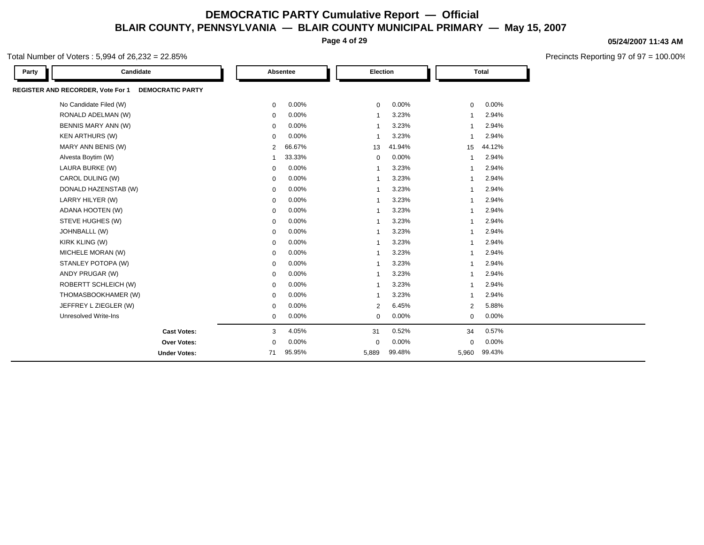**Page 4 of 29**

### Total Number of Voters : 5,994 of 26,232 = 22.85%

| Party | Candidate                                                           |                | Absentee | Election                |        |                | <b>Total</b> |  |
|-------|---------------------------------------------------------------------|----------------|----------|-------------------------|--------|----------------|--------------|--|
|       | <b>REGISTER AND RECORDER, Vote For 1</b><br><b>DEMOCRATIC PARTY</b> |                |          |                         |        |                |              |  |
|       | No Candidate Filed (W)                                              | 0              | 0.00%    | $\mathbf 0$             | 0.00%  | $\mathbf 0$    | 0.00%        |  |
|       | RONALD ADELMAN (W)                                                  | 0              | 0.00%    | -1                      | 3.23%  | -1             | 2.94%        |  |
|       | BENNIS MARY ANN (W)                                                 | $\mathbf 0$    | 0.00%    | $\overline{\mathbf{1}}$ | 3.23%  | $\overline{1}$ | 2.94%        |  |
|       | <b>KEN ARTHURS (W)</b>                                              | $\mathbf 0$    | 0.00%    | $\overline{\mathbf{1}}$ | 3.23%  | $\overline{1}$ | 2.94%        |  |
|       | MARY ANN BENIS (W)                                                  | $\overline{2}$ | 66.67%   | 13                      | 41.94% | 15             | 44.12%       |  |
|       | Alvesta Boytim (W)                                                  | -1             | 33.33%   | $\mathbf 0$             | 0.00%  | $\mathbf{1}$   | 2.94%        |  |
|       | LAURA BURKE (W)                                                     | $\mathbf 0$    | 0.00%    | $\overline{\mathbf{1}}$ | 3.23%  | $\overline{1}$ | 2.94%        |  |
|       | CAROL DULING (W)                                                    | 0              | 0.00%    | $\overline{1}$          | 3.23%  | -1             | 2.94%        |  |
|       | DONALD HAZENSTAB (W)                                                | 0              | 0.00%    | -1                      | 3.23%  | -1             | 2.94%        |  |
|       | LARRY HILYER (W)                                                    | $\mathbf 0$    | 0.00%    | $\overline{1}$          | 3.23%  | $\overline{1}$ | 2.94%        |  |
|       | ADANA HOOTEN (W)                                                    | $\mathbf 0$    | 0.00%    | $\overline{1}$          | 3.23%  | $\overline{1}$ | 2.94%        |  |
|       | STEVE HUGHES (W)                                                    | $\mathbf 0$    | 0.00%    | -1                      | 3.23%  | 1              | 2.94%        |  |
|       | JOHNBALLL (W)                                                       | 0              | 0.00%    | $\overline{1}$          | 3.23%  | 1              | 2.94%        |  |
|       | KIRK KLING (W)                                                      | $\mathbf 0$    | 0.00%    | $\overline{1}$          | 3.23%  | $\mathbf 1$    | 2.94%        |  |
|       | MICHELE MORAN (W)                                                   | $\mathbf 0$    | 0.00%    | -1                      | 3.23%  | $\overline{1}$ | 2.94%        |  |
|       | STANLEY POTOPA (W)                                                  | $\mathbf 0$    | 0.00%    | -1                      | 3.23%  | -1             | 2.94%        |  |
|       | ANDY PRUGAR (W)                                                     | $\mathbf 0$    | 0.00%    | $\overline{1}$          | 3.23%  | $\overline{1}$ | 2.94%        |  |
|       | ROBERTT SCHLEICH (W)                                                | $\mathbf 0$    | 0.00%    | $\overline{1}$          | 3.23%  | $\overline{1}$ | 2.94%        |  |
|       | THOMASBOOKHAMER (W)                                                 | $\mathbf 0$    | 0.00%    | -1                      | 3.23%  |                | 2.94%        |  |
|       | JEFFREY L ZIEGLER (W)                                               | $\mathbf 0$    | 0.00%    | 2                       | 6.45%  | 2              | 5.88%        |  |
|       | <b>Unresolved Write-Ins</b>                                         | $\mathbf 0$    | $0.00\%$ | $\mathbf 0$             | 0.00%  | $\mathbf 0$    | 0.00%        |  |
|       | <b>Cast Votes:</b>                                                  | 3              | 4.05%    | 31                      | 0.52%  | 34             | 0.57%        |  |
|       | Over Votes:                                                         | $\mathbf 0$    | 0.00%    | $\mathbf 0$             | 0.00%  | $\mathbf 0$    | 0.00%        |  |
|       | <b>Under Votes:</b>                                                 | 71             | 95.95%   | 5,889                   | 99.48% | 5,960          | 99.43%       |  |

**05/24/2007 11:43 AM**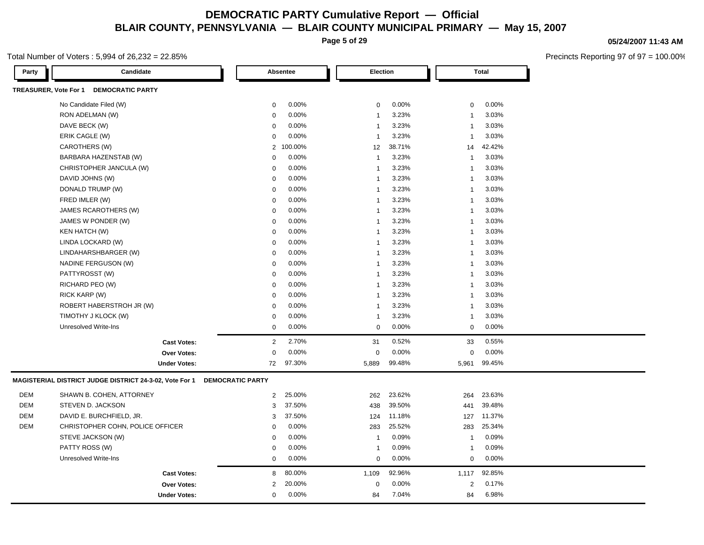**Page 5 of 29**

### Total Number of Voters : 5,994 of 26,232 = 22.85%

| <b>DEMOCRATIC PARTY</b><br>TREASURER, Vote For 1<br>0.00%<br>0.00%<br>0.00%<br>No Candidate Filed (W)<br>$\mathsf 0$<br>$\mathbf 0$<br>$\mathbf 0$<br>0.00%<br>3.23%<br>3.03%<br>RON ADELMAN (W)<br>$\mathbf 0$<br>$\overline{1}$<br>1<br>3.23%<br>3.03%<br>DAVE BECK (W)<br>0.00%<br>$\mathbf 0$<br>$\overline{1}$<br>1<br>ERIK CAGLE (W)<br>3.23%<br>3.03%<br>0.00%<br>$\mathbf 0$<br>$\overline{1}$<br>$\overline{\mathbf{1}}$<br>CAROTHERS (W)<br>38.71%<br>42.42%<br>$\overline{2}$<br>100.00%<br>12<br>14<br>BARBARA HAZENSTAB (W)<br>0.00%<br>3.23%<br>3.03%<br>$\mathbf 0$<br>$\mathbf{1}$<br>$\overline{1}$ |
|----------------------------------------------------------------------------------------------------------------------------------------------------------------------------------------------------------------------------------------------------------------------------------------------------------------------------------------------------------------------------------------------------------------------------------------------------------------------------------------------------------------------------------------------------------------------------------------------------------------------|
|                                                                                                                                                                                                                                                                                                                                                                                                                                                                                                                                                                                                                      |
|                                                                                                                                                                                                                                                                                                                                                                                                                                                                                                                                                                                                                      |
|                                                                                                                                                                                                                                                                                                                                                                                                                                                                                                                                                                                                                      |
|                                                                                                                                                                                                                                                                                                                                                                                                                                                                                                                                                                                                                      |
|                                                                                                                                                                                                                                                                                                                                                                                                                                                                                                                                                                                                                      |
|                                                                                                                                                                                                                                                                                                                                                                                                                                                                                                                                                                                                                      |
|                                                                                                                                                                                                                                                                                                                                                                                                                                                                                                                                                                                                                      |
| 0.00%<br>3.23%<br>3.03%<br>CHRISTOPHER JANCULA (W)<br>$\mathbf 0$<br>$\overline{1}$<br>1                                                                                                                                                                                                                                                                                                                                                                                                                                                                                                                             |
| 3.23%<br>3.03%<br>DAVID JOHNS (W)<br>0.00%<br>0<br>$\overline{1}$<br>$\overline{\mathbf{1}}$                                                                                                                                                                                                                                                                                                                                                                                                                                                                                                                         |
| DONALD TRUMP (W)<br>0.00%<br>3.23%<br>3.03%<br>$\mathbf 0$<br>$\overline{1}$<br>$\overline{1}$                                                                                                                                                                                                                                                                                                                                                                                                                                                                                                                       |
| FRED IMLER (W)<br>0.00%<br>3.23%<br>3.03%<br>$\mathbf 0$<br>$\mathbf{1}$<br>$\overline{\mathbf{1}}$                                                                                                                                                                                                                                                                                                                                                                                                                                                                                                                  |
| JAMES RCAROTHERS (W)<br>0.00%<br>3.23%<br>3.03%<br>$\mathbf 0$<br>$\overline{1}$<br>1                                                                                                                                                                                                                                                                                                                                                                                                                                                                                                                                |
| 3.23%<br>3.03%<br>JAMES W PONDER (W)<br>0.00%<br>$\overline{1}$<br>$\mathbf 0$<br>1                                                                                                                                                                                                                                                                                                                                                                                                                                                                                                                                  |
| KEN HATCH (W)<br>0.00%<br>3.23%<br>3.03%<br>$\mathbf{0}$<br>$\overline{1}$<br>1                                                                                                                                                                                                                                                                                                                                                                                                                                                                                                                                      |
| 3.23%<br>3.03%<br>LINDA LOCKARD (W)<br>0.00%<br>$\mathbf 0$<br>$\mathbf{1}$<br>1                                                                                                                                                                                                                                                                                                                                                                                                                                                                                                                                     |
| 0.00%<br>3.23%<br>3.03%<br>LINDAHARSHBARGER (W)<br>$\mathbf{0}$<br>$\overline{1}$<br>1                                                                                                                                                                                                                                                                                                                                                                                                                                                                                                                               |
| 0.00%<br>3.23%<br>3.03%<br>NADINE FERGUSON (W)<br>0<br>$\mathbf{1}$<br>1                                                                                                                                                                                                                                                                                                                                                                                                                                                                                                                                             |
| 3.23%<br>3.03%<br>PATTYROSST (W)<br>0.00%<br>0<br>$\overline{1}$<br>1                                                                                                                                                                                                                                                                                                                                                                                                                                                                                                                                                |
| 3.03%<br>RICHARD PEO (W)<br>0.00%<br>3.23%<br>$\mathbf 0$<br>$\overline{1}$<br>1                                                                                                                                                                                                                                                                                                                                                                                                                                                                                                                                     |
| 0.00%<br>3.23%<br>3.03%<br>RICK KARP (W)<br>$\mathbf 0$<br>$\mathbf{1}$<br>$\overline{\mathbf{1}}$                                                                                                                                                                                                                                                                                                                                                                                                                                                                                                                   |
| ROBERT HABERSTROH JR (W)<br>0.00%<br>3.23%<br>3.03%<br>$\mathbf 0$<br>$\overline{1}$<br>1                                                                                                                                                                                                                                                                                                                                                                                                                                                                                                                            |
| 3.03%<br>TIMOTHY J KLOCK (W)<br>0.00%<br>3.23%<br>0<br>$\overline{1}$<br>1                                                                                                                                                                                                                                                                                                                                                                                                                                                                                                                                           |
| 0.00%<br><b>Unresolved Write-Ins</b><br>0.00%<br>0.00%<br>$\mathbf 0$<br>$\mathbf 0$<br>$\mathbf 0$                                                                                                                                                                                                                                                                                                                                                                                                                                                                                                                  |
| 0.55%<br>2.70%<br>0.52%<br>2<br><b>Cast Votes:</b><br>31<br>33                                                                                                                                                                                                                                                                                                                                                                                                                                                                                                                                                       |
| 0.00%<br>0.00%<br>0.00%<br>$\mathbf{0}$<br>$\mathbf 0$<br>$\mathbf 0$<br><b>Over Votes:</b>                                                                                                                                                                                                                                                                                                                                                                                                                                                                                                                          |
| 99.48%<br>99.45%<br>97.30%<br><b>Under Votes:</b><br>72<br>5,889<br>5,961                                                                                                                                                                                                                                                                                                                                                                                                                                                                                                                                            |
| MAGISTERIAL DISTRICT JUDGE DISTRICT 24-3-02, Vote For 1<br><b>DEMOCRATIC PARTY</b>                                                                                                                                                                                                                                                                                                                                                                                                                                                                                                                                   |
| DEM<br>SHAWN B. COHEN, ATTORNEY<br>$\overline{2}$<br>25.00%<br>262<br>23.62%<br>264<br>23.63%                                                                                                                                                                                                                                                                                                                                                                                                                                                                                                                        |
| <b>DEM</b><br>STEVEN D. JACKSON<br>3<br>37.50%<br>438<br>39.50%<br>39.48%<br>441                                                                                                                                                                                                                                                                                                                                                                                                                                                                                                                                     |
| <b>DEM</b><br>DAVID E. BURCHFIELD, JR.<br>37.50%<br>11.18%<br>11.37%<br>3<br>124<br>127                                                                                                                                                                                                                                                                                                                                                                                                                                                                                                                              |
| <b>DEM</b><br>CHRISTOPHER COHN, POLICE OFFICER<br>0.00%<br>25.52%<br>25.34%<br>$\mathbf 0$<br>283<br>283                                                                                                                                                                                                                                                                                                                                                                                                                                                                                                             |
| 0.09%<br>STEVE JACKSON (W)<br>0.00%<br>0.09%<br>$\mathbf 0$<br>$\overline{1}$<br>$\overline{1}$                                                                                                                                                                                                                                                                                                                                                                                                                                                                                                                      |
| PATTY ROSS (W)<br>0.00%<br>0.09%<br>0.09%<br>$\mathbf{0}$<br>$\overline{1}$<br>$\overline{\mathbf{1}}$                                                                                                                                                                                                                                                                                                                                                                                                                                                                                                               |
| 0.00%<br>0.00%<br>0.00%<br>Unresolved Write-Ins<br>$\mathbf 0$<br>$\mathbf 0$<br>$\mathbf 0$                                                                                                                                                                                                                                                                                                                                                                                                                                                                                                                         |
| 80.00%<br>92.96%<br>92.85%<br><b>Cast Votes:</b><br>8<br>1,109<br>1,117                                                                                                                                                                                                                                                                                                                                                                                                                                                                                                                                              |
| 0.17%<br>20.00%<br>0.00%<br><b>Over Votes:</b><br>2<br>$\mathbf 0$<br>2                                                                                                                                                                                                                                                                                                                                                                                                                                                                                                                                              |
| 0.00%<br>7.04%<br>6.98%<br>$\mathbf 0$<br>84<br>84<br><b>Under Votes:</b>                                                                                                                                                                                                                                                                                                                                                                                                                                                                                                                                            |

#### **05/24/2007 11:43 AM**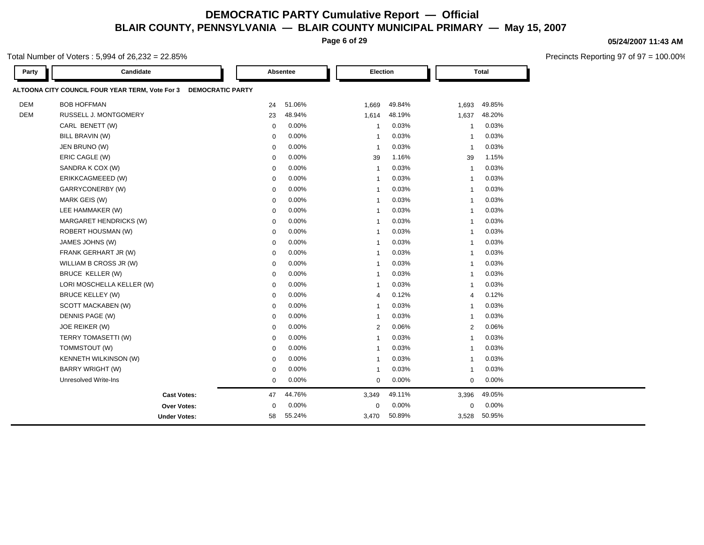**Page 6 of 29**

### Total Number of Voters : 5,994 of 26,232 = 22.85%

| Party      | Candidate                                                                  |             | Absentee | Election                |        |                         | <b>Total</b> |  |
|------------|----------------------------------------------------------------------------|-------------|----------|-------------------------|--------|-------------------------|--------------|--|
|            | ALTOONA CITY COUNCIL FOUR YEAR TERM, Vote For 3<br><b>DEMOCRATIC PARTY</b> |             |          |                         |        |                         |              |  |
| <b>DEM</b> | <b>BOB HOFFMAN</b>                                                         | 24          | 51.06%   | 1,669                   | 49.84% | 1,693                   | 49.85%       |  |
| <b>DEM</b> | <b>RUSSELL J. MONTGOMERY</b>                                               | 23          | 48.94%   | 1,614                   | 48.19% | 1,637                   | 48.20%       |  |
|            | CARL BENETT (W)                                                            | $\mathbf 0$ | 0.00%    | $\overline{1}$          | 0.03%  | $\overline{1}$          | 0.03%        |  |
|            | BILL BRAVIN (W)                                                            | 0           | 0.00%    | $\overline{1}$          | 0.03%  | $\overline{1}$          | 0.03%        |  |
|            | JEN BRUNO (W)                                                              | $\mathbf 0$ | 0.00%    | $\overline{1}$          | 0.03%  | $\overline{1}$          | 0.03%        |  |
|            | ERIC CAGLE (W)                                                             | $\mathbf 0$ | 0.00%    | 39                      | 1.16%  | 39                      | 1.15%        |  |
|            | SANDRA K COX (W)                                                           | $\mathbf 0$ | 0.00%    | $\overline{1}$          | 0.03%  | $\overline{1}$          | 0.03%        |  |
|            | ERIKKCAGMEEED (W)                                                          | $\mathbf 0$ | 0.00%    | $\overline{1}$          | 0.03%  | $\overline{1}$          | 0.03%        |  |
|            | GARRYCONERBY (W)                                                           | $\mathbf 0$ | 0.00%    | $\overline{1}$          | 0.03%  | $\overline{1}$          | 0.03%        |  |
|            | MARK GEIS (W)                                                              | $\mathbf 0$ | 0.00%    | $\overline{\mathbf{1}}$ | 0.03%  | $\overline{\mathbf{1}}$ | 0.03%        |  |
|            | LEE HAMMAKER (W)                                                           | $\mathbf 0$ | 0.00%    | $\overline{\mathbf{1}}$ | 0.03%  | $\overline{1}$          | 0.03%        |  |
|            | MARGARET HENDRICKS (W)                                                     | $\mathbf 0$ | 0.00%    | $\overline{\mathbf{1}}$ | 0.03%  | $\overline{1}$          | 0.03%        |  |
|            | ROBERT HOUSMAN (W)                                                         | $\mathbf 0$ | 0.00%    | $\overline{\mathbf{1}}$ | 0.03%  | $\overline{\mathbf{1}}$ | 0.03%        |  |
|            | JAMES JOHNS (W)                                                            | $\mathbf 0$ | 0.00%    | $\overline{1}$          | 0.03%  | $\overline{1}$          | 0.03%        |  |
|            | FRANK GERHART JR (W)                                                       | $\mathbf 0$ | 0.00%    | $\overline{1}$          | 0.03%  | $\overline{1}$          | 0.03%        |  |
|            | WILLIAM B CROSS JR (W)                                                     | $\mathbf 0$ | 0.00%    | $\overline{\mathbf{1}}$ | 0.03%  | $\overline{1}$          | 0.03%        |  |
|            | BRUCE KELLER (W)                                                           | $\mathbf 0$ | 0.00%    | $\overline{\mathbf{1}}$ | 0.03%  | $\overline{1}$          | 0.03%        |  |
|            | LORI MOSCHELLA KELLER (W)                                                  | $\mathbf 0$ | 0.00%    | $\overline{1}$          | 0.03%  | $\mathbf{1}$            | 0.03%        |  |
|            | <b>BRUCE KELLEY (W)</b>                                                    | $\mathbf 0$ | 0.00%    | $\overline{4}$          | 0.12%  | $\overline{4}$          | 0.12%        |  |
|            | SCOTT MACKABEN (W)                                                         | $\mathbf 0$ | 0.00%    | $\overline{1}$          | 0.03%  | $\overline{1}$          | 0.03%        |  |
|            | DENNIS PAGE (W)                                                            | $\mathbf 0$ | 0.00%    | $\overline{1}$          | 0.03%  | $\overline{1}$          | 0.03%        |  |
|            | JOE REIKER (W)                                                             | 0           | 0.00%    | $\overline{2}$          | 0.06%  | 2                       | 0.06%        |  |
|            | TERRY TOMASETTI (W)                                                        | $\mathbf 0$ | 0.00%    | $\overline{1}$          | 0.03%  | $\mathbf{1}$            | 0.03%        |  |
|            | TOMMSTOUT (W)                                                              | $\mathbf 0$ | 0.00%    | $\overline{\mathbf{1}}$ | 0.03%  | $\overline{1}$          | 0.03%        |  |
|            | KENNETH WILKINSON (W)                                                      | $\mathbf 0$ | 0.00%    | $\overline{\mathbf{1}}$ | 0.03%  | $\overline{1}$          | 0.03%        |  |
|            | <b>BARRY WRIGHT (W)</b>                                                    | $\mathbf 0$ | 0.00%    | $\overline{1}$          | 0.03%  | $\overline{1}$          | 0.03%        |  |
|            | <b>Unresolved Write-Ins</b>                                                | $\mathbf 0$ | 0.00%    | $\mathbf 0$             | 0.00%  | $\mathbf 0$             | 0.00%        |  |
|            | <b>Cast Votes:</b>                                                         | 47          | 44.76%   | 3,349                   | 49.11% | 3,396                   | 49.05%       |  |
|            | Over Votes:                                                                | 0           | 0.00%    | 0                       | 0.00%  | $\mathbf 0$             | 0.00%        |  |
|            | <b>Under Votes:</b>                                                        | 58          | 55.24%   | 3,470                   | 50.89% | 3,528                   | 50.95%       |  |

#### **05/24/2007 11:43 AM**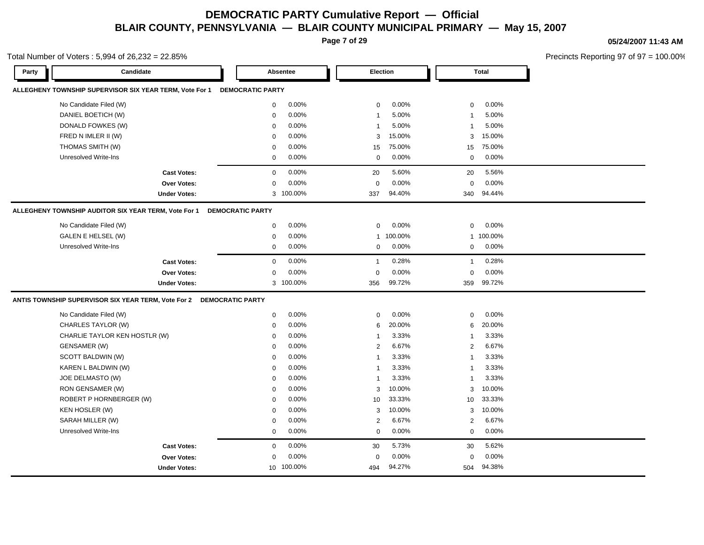**Page 7 of 29**

Total Number of Voters : 5,994 of 26,232 = 22.85%

**05/24/2007 11:43 AM**

| Candidate<br>Party                                                   |                         | Absentee   | Election       |         |                | <b>Total</b> |  |
|----------------------------------------------------------------------|-------------------------|------------|----------------|---------|----------------|--------------|--|
| ALLEGHENY TOWNSHIP SUPERVISOR SIX YEAR TERM, Vote For 1              | <b>DEMOCRATIC PARTY</b> |            |                |         |                |              |  |
| No Candidate Filed (W)                                               | $\mathbf 0$             | 0.00%      | $\mathbf 0$    | 0.00%   | $\mathbf 0$    | 0.00%        |  |
| DANIEL BOETICH (W)                                                   | $\mathbf 0$             | 0.00%      | $\mathbf{1}$   | 5.00%   | $\mathbf{1}$   | 5.00%        |  |
| DONALD FOWKES (W)                                                    | $\Omega$                | 0.00%      | $\mathbf{1}$   | 5.00%   | $\overline{1}$ | 5.00%        |  |
| FRED N IMLER II (W)                                                  | $\Omega$                | 0.00%      | 3              | 15.00%  | 3              | 15.00%       |  |
| THOMAS SMITH (W)                                                     | $\mathbf 0$             | 0.00%      | 15             | 75.00%  | 15             | 75.00%       |  |
| <b>Unresolved Write-Ins</b>                                          | 0                       | 0.00%      | $\mathbf 0$    | 0.00%   | $\mathbf 0$    | 0.00%        |  |
| <b>Cast Votes:</b>                                                   | $\mathbf 0$             | 0.00%      | 20             | 5.60%   | 20             | 5.56%        |  |
| <b>Over Votes:</b>                                                   | 0                       | 0.00%      | $\mathbf 0$    | 0.00%   | $\mathbf 0$    | 0.00%        |  |
| <b>Under Votes:</b>                                                  |                         | 3 100.00%  | 337            | 94.40%  | 340            | 94.44%       |  |
| ALLEGHENY TOWNSHIP AUDITOR SIX YEAR TERM, Vote For 1                 | <b>DEMOCRATIC PARTY</b> |            |                |         |                |              |  |
| No Candidate Filed (W)                                               | $\mathbf 0$             | 0.00%      | $\mathbf 0$    | 0.00%   | $\mathbf 0$    | 0.00%        |  |
| GALEN E HELSEL (W)                                                   | $\mathbf 0$             | 0.00%      | $\mathbf{1}$   | 100.00% |                | 1 100.00%    |  |
| <b>Unresolved Write-Ins</b>                                          | 0                       | 0.00%      | $\mathbf 0$    | 0.00%   | $\mathbf 0$    | 0.00%        |  |
| <b>Cast Votes:</b>                                                   | $\mathbf 0$             | 0.00%      | $\overline{1}$ | 0.28%   | $\mathbf{1}$   | 0.28%        |  |
| Over Votes:                                                          | 0                       | 0.00%      | 0              | 0.00%   | $\mathbf 0$    | 0.00%        |  |
| <b>Under Votes:</b>                                                  |                         | 3 100.00%  | 356            | 99.72%  | 359            | 99.72%       |  |
| ANTIS TOWNSHIP SUPERVISOR SIX YEAR TERM, Vote For 2 DEMOCRATIC PARTY |                         |            |                |         |                |              |  |
| No Candidate Filed (W)                                               | $\mathbf 0$             | 0.00%      | $\mathbf 0$    | 0.00%   | $\mathbf 0$    | 0.00%        |  |
| CHARLES TAYLOR (W)                                                   | 0                       | 0.00%      | 6              | 20.00%  | 6              | 20.00%       |  |
| CHARLIE TAYLOR KEN HOSTLR (W)                                        | $\mathbf 0$             | 0.00%      | $\mathbf{1}$   | 3.33%   | $\mathbf{1}$   | 3.33%        |  |
| GENSAMER (W)                                                         | $\mathbf 0$             | 0.00%      | 2              | 6.67%   | $\overline{2}$ | 6.67%        |  |
| SCOTT BALDWIN (W)                                                    | $\mathbf 0$             | 0.00%      | $\overline{1}$ | 3.33%   | $\overline{1}$ | 3.33%        |  |
| KAREN L BALDWIN (W)                                                  | $\mathbf 0$             | 0.00%      | $\overline{1}$ | 3.33%   | $\overline{1}$ | 3.33%        |  |
| JOE DELMASTO (W)                                                     | $\mathbf 0$             | 0.00%      | $\mathbf{1}$   | 3.33%   | $\mathbf{1}$   | 3.33%        |  |
| RON GENSAMER (W)                                                     | 0                       | 0.00%      | 3              | 10.00%  | 3              | 10.00%       |  |
| ROBERT P HORNBERGER (W)                                              | $\mathbf 0$             | 0.00%      | 10             | 33.33%  | 10             | 33.33%       |  |
| KEN HOSLER (W)                                                       | $\mathbf 0$             | 0.00%      | 3              | 10.00%  | 3              | 10.00%       |  |
| SARAH MILLER (W)                                                     | $\mathbf 0$             | 0.00%      | 2              | 6.67%   | $\overline{2}$ | 6.67%        |  |
| Unresolved Write-Ins                                                 | $\mathbf 0$             | $0.00\%$   | $\Omega$       | 0.00%   | $\mathbf 0$    | 0.00%        |  |
| <b>Cast Votes:</b>                                                   | $\mathbf 0$             | 0.00%      | 30             | 5.73%   | 30             | 5.62%        |  |
| Over Votes:                                                          | $\mathbf 0$             | 0.00%      | $\mathbf 0$    | 0.00%   | $\mathbf 0$    | 0.00%        |  |
| <b>Under Votes:</b>                                                  |                         | 10 100.00% | 494            | 94.27%  | 504            | 94.38%       |  |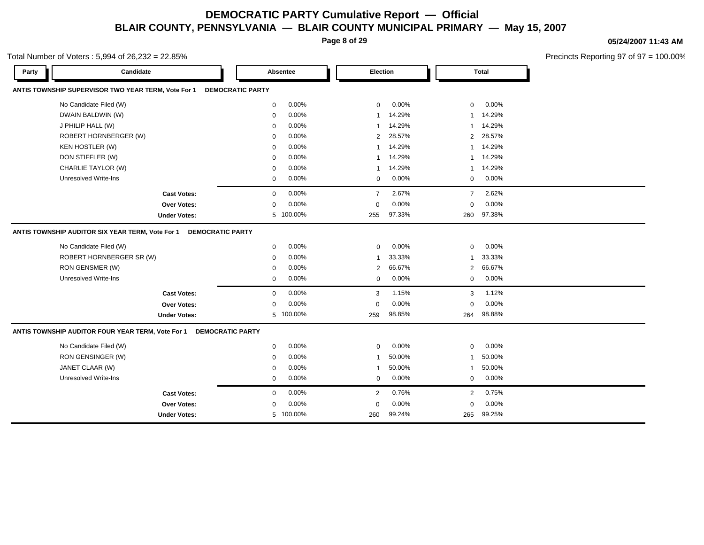**Page 8 of 29**

#### **05/24/2007 11:43 AM**

Precincts Reporting 97 of 97 = 100.00%

#### Total Number of Voters : 5,994 of 26,232 = 22.85%

| Party | Candidate                                                                    |                         | Absentee  | Election                |        |                | <b>Total</b> |
|-------|------------------------------------------------------------------------------|-------------------------|-----------|-------------------------|--------|----------------|--------------|
|       | ANTIS TOWNSHIP SUPERVISOR TWO YEAR TERM, Vote For 1                          | <b>DEMOCRATIC PARTY</b> |           |                         |        |                |              |
|       | No Candidate Filed (W)                                                       | 0                       | 0.00%     | $\mathbf 0$             | 0.00%  | $\mathbf 0$    | 0.00%        |
|       | DWAIN BALDWIN (W)                                                            | $\mathbf 0$             | 0.00%     | $\mathbf{1}$            | 14.29% | 1              | 14.29%       |
|       | J PHILIP HALL (W)                                                            | $\mathbf 0$             | 0.00%     | $\overline{\mathbf{1}}$ | 14.29% | $\mathbf{1}$   | 14.29%       |
|       | ROBERT HORNBERGER (W)                                                        | $\mathbf 0$             | 0.00%     | $\overline{2}$          | 28.57% | $\overline{2}$ | 28.57%       |
|       | KEN HOSTLER (W)                                                              | $\mathbf 0$             | 0.00%     | -1                      | 14.29% | $\mathbf{1}$   | 14.29%       |
|       | DON STIFFLER (W)                                                             | $\mathbf 0$             | 0.00%     | $\overline{1}$          | 14.29% | $\mathbf{1}$   | 14.29%       |
|       | CHARLIE TAYLOR (W)                                                           | $\mathbf 0$             | 0.00%     | -1                      | 14.29% | 1              | 14.29%       |
|       | Unresolved Write-Ins                                                         | 0                       | 0.00%     | 0                       | 0.00%  | 0              | 0.00%        |
|       | <b>Cast Votes:</b>                                                           | $\mathbf 0$             | 0.00%     | $\overline{7}$          | 2.67%  | $\overline{7}$ | 2.62%        |
|       | Over Votes:                                                                  | $\mathbf 0$             | 0.00%     | $\mathbf 0$             | 0.00%  | $\mathbf 0$    | 0.00%        |
|       | <b>Under Votes:</b>                                                          |                         | 5 100.00% | 255                     | 97.33% | 260            | 97.38%       |
|       | ANTIS TOWNSHIP AUDITOR SIX YEAR TERM, Vote For 1<br><b>DEMOCRATIC PARTY</b>  |                         |           |                         |        |                |              |
|       | No Candidate Filed (W)                                                       | 0                       | 0.00%     | $\mathbf 0$             | 0.00%  | 0              | 0.00%        |
|       | ROBERT HORNBERGER SR (W)                                                     | $\mathbf 0$             | 0.00%     | $\overline{1}$          | 33.33% | 1              | 33.33%       |
|       | RON GENSMER (W)                                                              | $\mathbf 0$             | 0.00%     | $\overline{2}$          | 66.67% | $\overline{2}$ | 66.67%       |
|       | <b>Unresolved Write-Ins</b>                                                  | 0                       | 0.00%     | 0                       | 0.00%  | $\mathbf 0$    | 0.00%        |
|       | <b>Cast Votes:</b>                                                           | $\mathbf 0$             | 0.00%     | 3                       | 1.15%  | 3              | 1.12%        |
|       | Over Votes:                                                                  | 0                       | 0.00%     | $\mathbf 0$             | 0.00%  | $\mathbf 0$    | 0.00%        |
|       | <b>Under Votes:</b>                                                          |                         | 5 100.00% | 259                     | 98.85% | 264            | 98.88%       |
|       | ANTIS TOWNSHIP AUDITOR FOUR YEAR TERM, Vote For 1<br><b>DEMOCRATIC PARTY</b> |                         |           |                         |        |                |              |
|       | No Candidate Filed (W)                                                       | 0                       | 0.00%     | $\mathbf 0$             | 0.00%  | 0              | 0.00%        |
|       | RON GENSINGER (W)                                                            | $\mathbf 0$             | 0.00%     | $\overline{1}$          | 50.00% | -1             | 50.00%       |
|       | JANET CLAAR (W)                                                              | $\mathbf 0$             | 0.00%     | $\overline{1}$          | 50.00% | $\mathbf{1}$   | 50.00%       |
|       | Unresolved Write-Ins                                                         | 0                       | 0.00%     | 0                       | 0.00%  | 0              | 0.00%        |
|       | <b>Cast Votes:</b>                                                           | 0                       | 0.00%     | 2                       | 0.76%  | $\overline{2}$ | 0.75%        |
|       | <b>Over Votes:</b>                                                           | $\mathbf 0$             | 0.00%     | $\mathbf 0$             | 0.00%  | $\Omega$       | 0.00%        |
|       | <b>Under Votes:</b>                                                          |                         | 5 100.00% | 260                     | 99.24% | 265            | 99.25%       |
|       |                                                                              |                         |           |                         |        |                |              |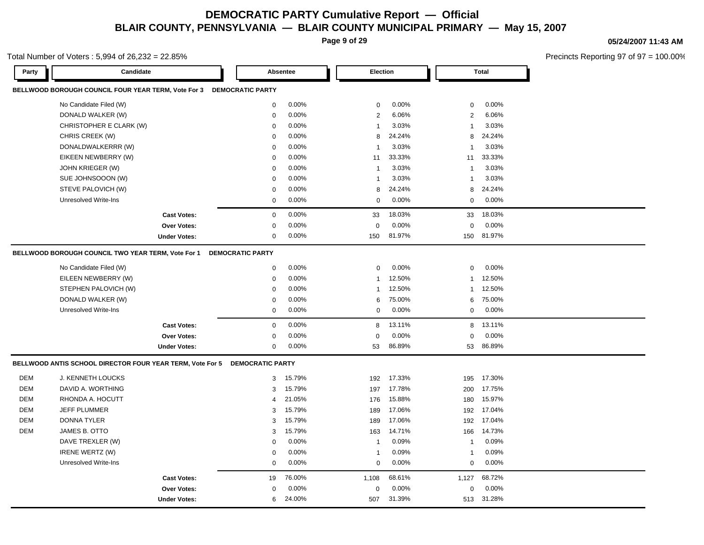**Page 9 of 29**

### **05/24/2007 11:43 AM**

Precincts Reporting 97 of 97 = 100.00%

|       | Total Number of Voters: $5,994$ of $26,232 = 22.85\%$ |                    |                         |          |                |          |              |              | <b>Precincts Reportin</b> |
|-------|-------------------------------------------------------|--------------------|-------------------------|----------|----------------|----------|--------------|--------------|---------------------------|
| Party | Candidate                                             |                    | Absentee                |          |                | Election |              | <b>Total</b> |                           |
|       | BELLWOOD BOROUGH COUNCIL FOUR YEAR TERM, Vote For 3   |                    | <b>DEMOCRATIC PARTY</b> |          |                |          |              |              |                           |
|       | No Candidate Filed (W)                                |                    | 0                       | $0.00\%$ | $\Omega$       | $0.00\%$ | $\mathbf{0}$ | 0.00%        |                           |
|       | DONALD WALKER (W)                                     |                    | 0                       | $0.00\%$ | $\overline{2}$ | 6.06%    | 2            | 6.06%        |                           |
|       | CHRISTOPHER E CLARK (W)                               |                    | $\mathbf{0}$            | $0.00\%$ |                | 3.03%    |              | 3.03%        |                           |
|       | CHRIS CREEK (W)                                       |                    | $\mathbf{0}$            | $0.00\%$ | 8              | 24.24%   | 8            | 24.24%       |                           |
|       | DONALDWALKERRR (W)                                    |                    | 0                       | $0.00\%$ |                | 3.03%    |              | 3.03%        |                           |
|       | EIKEEN NEWBERRY (W)                                   |                    | $\mathbf{0}$            | $0.00\%$ | 11             | 33.33%   | 11           | 33.33%       |                           |
|       | JOHN KRIEGER (W)                                      |                    | $\mathbf{0}$            | $0.00\%$ |                | 3.03%    |              | 3.03%        |                           |
|       | SUE JOHNSOOON (W)                                     |                    | 0                       | $0.00\%$ |                | 3.03%    |              | 3.03%        |                           |
|       | STEVE PALOVICH (W)                                    |                    | $\mathbf{0}$            | $0.00\%$ | 8              | 24.24%   | 8            | 24.24%       |                           |
|       | Unresolved Write-Ins                                  |                    | $\mathbf{0}$            | $0.00\%$ | $\Omega$       | $0.00\%$ | 0            | 0.00%        |                           |
|       |                                                       | <b>Cast Votes:</b> | $\mathbf{0}$            | $0.00\%$ | 33             | 18.03%   | 33           | 18.03%       |                           |
|       |                                                       | Over Votes:        | $\mathbf{0}$            | $0.00\%$ | $\mathbf{0}$   | $0.00\%$ | $\mathbf{0}$ | $0.00\%$     |                           |

**Under Votes:** 0

#### **BELLWOOD BOROUGH COUNCIL TWO YEAR TERM, Vote For 1 DEMOCRATIC PARTY**

| No Candidate Filed (W) |                     | $\Omega$ | $0.00\%$ |              | $0.00\%$ |    | $0.00\%$        |  |
|------------------------|---------------------|----------|----------|--------------|----------|----|-----------------|--|
| EILEEN NEWBERRY (W)    |                     | $\Omega$ | 0.00%    |              | 12.50%   |    | 12.50%          |  |
| STEPHEN PALOVICH (W)   |                     | $\Omega$ | $0.00\%$ |              | 12.50%   |    | 12.50%          |  |
| DONALD WALKER (W)      |                     | $\Omega$ | $0.00\%$ | 6            | 75.00%   |    | 6 75.00%        |  |
| Unresolved Write-Ins   |                     | $\Omega$ | $0.00\%$ | $\Omega$     | $0.00\%$ |    | $0.00\%$        |  |
|                        | <b>Cast Votes:</b>  | $\Omega$ | $0.00\%$ | 8            | 13.11%   |    | 8 13.11%        |  |
|                        | <b>Over Votes:</b>  | $\Omega$ | $0.00\%$ | $\mathbf{0}$ | $0.00\%$ |    | $0\quad 0.00\%$ |  |
|                        | <b>Under Votes:</b> | $\Omega$ | $0.00\%$ | 53           | 86.89%   | 53 | 86.89%          |  |

150 81.97%

 150 150 81.97% 81.97% 0.00% 0 0.00%

#### **BELLWOOD ANTIS SCHOOL DIRECTOR FOUR YEAR TERM, Vote For 5 DEMOCRATIC PARTY**

| DEM | <b>J. KENNETH LOUCKS</b> |                | 3 15.79% | 192          | 17.33%   | 195          | 17.30%     |  |
|-----|--------------------------|----------------|----------|--------------|----------|--------------|------------|--|
| DEM | DAVID A. WORTHING        |                | 3 15.79% | 197          | 17.78%   | 200          | 17.75%     |  |
| DEM | RHONDA A. HOCUTT         |                | 4 21.05% | 176          | 15.88%   | 180          | 15.97%     |  |
| DEM | <b>JEFF PLUMMER</b>      |                | 3 15.79% | 189          | 17.06%   |              | 192 17.04% |  |
| DEM | <b>DONNA TYLER</b>       |                | 3 15.79% | 189          | 17.06%   | 192          | 17.04%     |  |
| DEM | JAMES B. OTTO            |                | 3 15.79% | 163          | 14.71%   | 166          | 14.73%     |  |
|     | DAVE TREXLER (W)         | $\overline{0}$ | $0.00\%$ |              | 0.09%    |              | $0.09\%$   |  |
|     | IRENE WERTZ (W)          | $\overline{0}$ | $0.00\%$ |              | 0.09%    |              | 0.09%      |  |
|     | Unresolved Write-Ins     | $\mathbf{0}$   | $0.00\%$ | $\mathbf{0}$ | $0.00\%$ | $\mathbf{0}$ | $0.00\%$   |  |
|     | <b>Cast Votes:</b>       | 19             | 76.00%   | 1,108        | 68.61%   | 1,127        | 68.72%     |  |
|     | <b>Over Votes:</b>       | $\overline{0}$ | $0.00\%$ | $\mathbf{0}$ | 0.00%    | $\mathbf{0}$ | $0.00\%$   |  |
|     | <b>Under Votes:</b>      |                | 6 24.00% | 507          | 31.39%   | 513          | 31.28%     |  |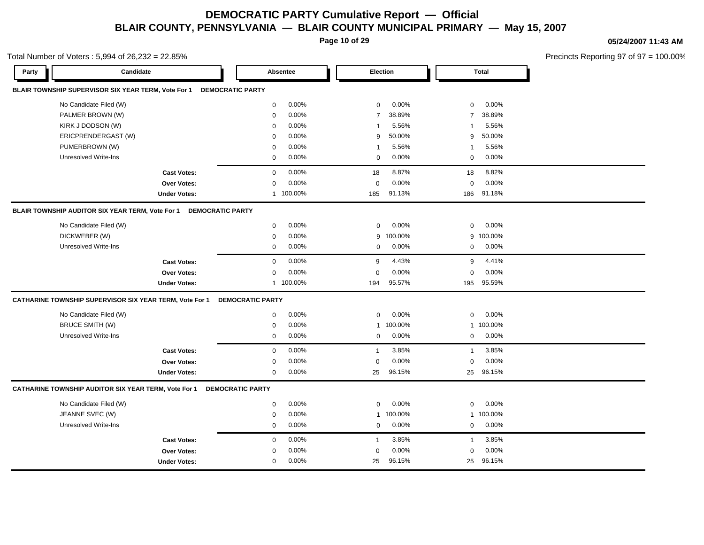**Page 10 of 29**

Total Number of Voters : 5,994 of 26,232 = 22.85%

#### **05/24/2007 11:43 AM**

| Party | Candidate                                               |                         |                         | Absentee  |                | Election |                | <b>Total</b> |  |
|-------|---------------------------------------------------------|-------------------------|-------------------------|-----------|----------------|----------|----------------|--------------|--|
|       | BLAIR TOWNSHIP SUPERVISOR SIX YEAR TERM, Vote For 1     |                         | <b>DEMOCRATIC PARTY</b> |           |                |          |                |              |  |
|       | No Candidate Filed (W)                                  |                         | $\mathbf 0$             | 0.00%     | $\mathbf 0$    | 0.00%    | $\mathbf 0$    | 0.00%        |  |
|       | PALMER BROWN (W)                                        |                         | $\mathsf 0$             | 0.00%     | $\overline{7}$ | 38.89%   | $\overline{7}$ | 38.89%       |  |
|       | KIRK J DODSON (W)                                       |                         | $\Omega$                | 0.00%     | $\mathbf{1}$   | 5.56%    | -1             | 5.56%        |  |
|       | ERICPRENDERGAST (W)                                     |                         | $\mathbf 0$             | $0.00\%$  | 9              | 50.00%   | 9              | 50.00%       |  |
|       | PUMERBROWN (W)                                          |                         | $\mathbf 0$             | 0.00%     | $\mathbf{1}$   | 5.56%    | -1             | 5.56%        |  |
|       | Unresolved Write-Ins                                    |                         | $\mathbf 0$             | 0.00%     | $\mathbf 0$    | $0.00\%$ | 0              | 0.00%        |  |
|       |                                                         | <b>Cast Votes:</b>      | $\mathbf 0$             | 0.00%     | 18             | 8.87%    | 18             | 8.82%        |  |
|       |                                                         | <b>Over Votes:</b>      | $\mathbf 0$             | 0.00%     | $\mathbf 0$    | 0.00%    | $\mathbf 0$    | 0.00%        |  |
|       |                                                         | <b>Under Votes:</b>     |                         | 1 100.00% | 185            | 91.13%   | 186            | 91.18%       |  |
|       | BLAIR TOWNSHIP AUDITOR SIX YEAR TERM, Vote For 1        | <b>DEMOCRATIC PARTY</b> |                         |           |                |          |                |              |  |
|       | No Candidate Filed (W)                                  |                         | $\mathbf 0$             | 0.00%     | $\mathbf 0$    | 0.00%    | $\mathbf 0$    | 0.00%        |  |
|       | DICKWEBER (W)                                           |                         | $\mathbf 0$             | 0.00%     | 9              | 100.00%  | 9              | 100.00%      |  |
|       | <b>Unresolved Write-Ins</b>                             |                         | $\mathbf 0$             | 0.00%     | $\mathbf 0$    | 0.00%    | $\mathbf 0$    | 0.00%        |  |
|       |                                                         | <b>Cast Votes:</b>      | $\mathbf 0$             | 0.00%     | 9              | 4.43%    | 9              | 4.41%        |  |
|       |                                                         | <b>Over Votes:</b>      | $\mathbf 0$             | 0.00%     | $\Omega$       | 0.00%    | $\mathbf 0$    | 0.00%        |  |
|       |                                                         | <b>Under Votes:</b>     |                         | 1 100.00% | 194            | 95.57%   | 195            | 95.59%       |  |
|       | CATHARINE TOWNSHIP SUPERVISOR SIX YEAR TERM, Vote For 1 |                         | <b>DEMOCRATIC PARTY</b> |           |                |          |                |              |  |
|       | No Candidate Filed (W)                                  |                         | $\mathbf 0$             | 0.00%     | $\mathbf 0$    | 0.00%    | $\mathbf 0$    | 0.00%        |  |
|       | <b>BRUCE SMITH (W)</b>                                  |                         | $\mathbf 0$             | 0.00%     | $\mathbf{1}$   | 100.00%  |                | 1 100.00%    |  |
|       | Unresolved Write-Ins                                    |                         | $\mathbf 0$             | 0.00%     | 0              | 0.00%    | 0              | 0.00%        |  |
|       |                                                         | <b>Cast Votes:</b>      | $\mathbf 0$             | 0.00%     | $\mathbf{1}$   | 3.85%    | $\overline{1}$ | 3.85%        |  |
|       |                                                         | Over Votes:             | $\mathbf 0$             | 0.00%     | $\mathbf 0$    | 0.00%    | $\mathbf 0$    | 0.00%        |  |
|       |                                                         | <b>Under Votes:</b>     | $\mathbf 0$             | 0.00%     | 25             | 96.15%   | 25             | 96.15%       |  |
|       | CATHARINE TOWNSHIP AUDITOR SIX YEAR TERM, Vote For 1    |                         | <b>DEMOCRATIC PARTY</b> |           |                |          |                |              |  |
|       | No Candidate Filed (W)                                  |                         | $\mathbf 0$             | 0.00%     | 0              | 0.00%    | 0              | 0.00%        |  |
|       | JEANNE SVEC (W)                                         |                         | $\mathbf 0$             | 0.00%     | $\mathbf{1}$   | 100.00%  | $\mathbf{1}$   | 100.00%      |  |
|       | Unresolved Write-Ins                                    |                         | $\mathbf 0$             | 0.00%     | $\mathbf 0$    | 0.00%    | $\mathbf 0$    | 0.00%        |  |
|       |                                                         | <b>Cast Votes:</b>      | $\mathbf 0$             | 0.00%     | $\mathbf{1}$   | 3.85%    | $\overline{1}$ | 3.85%        |  |
|       |                                                         | Over Votes:             | $\mathbf 0$             | 0.00%     | $\mathbf 0$    | 0.00%    | $\mathbf 0$    | 0.00%        |  |
|       |                                                         | <b>Under Votes:</b>     | $\mathbf 0$             | 0.00%     | 25             | 96.15%   | 25             | 96.15%       |  |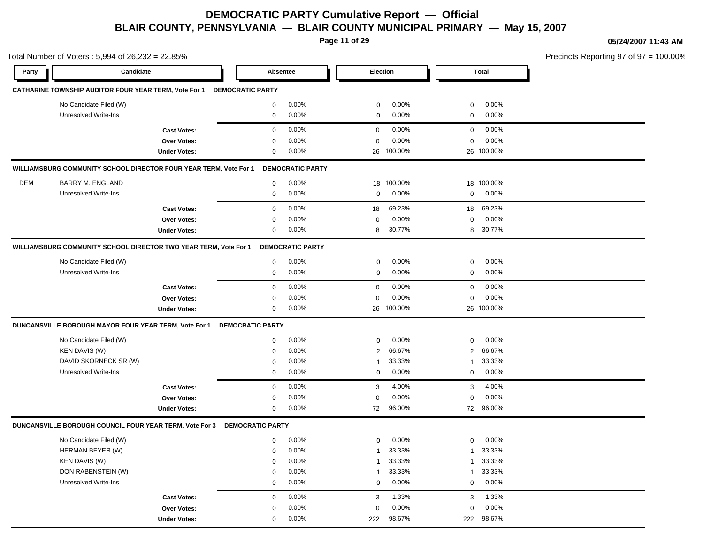**Page 11 of 29**

#### **05/24/2007 11:43 AM**

|            | Total Number of Voters: 5,994 of 26,232 = 22.85%                         |                     |                         |                         |                 |            |             |              | Precincts Reporting 97 of 97 |
|------------|--------------------------------------------------------------------------|---------------------|-------------------------|-------------------------|-----------------|------------|-------------|--------------|------------------------------|
| Party      | Candidate                                                                |                     | Absentee                |                         | <b>Election</b> |            |             | <b>Total</b> |                              |
|            | CATHARINE TOWNSHIP AUDITOR FOUR YEAR TERM, Vote For 1                    |                     | <b>DEMOCRATIC PARTY</b> |                         |                 |            |             |              |                              |
|            | No Candidate Filed (W)                                                   |                     | 0                       | 0.00%                   | 0               | 0.00%      | 0           | 0.00%        |                              |
|            | <b>Unresolved Write-Ins</b>                                              |                     | 0                       | $0.00\%$                | 0               | 0.00%      | 0           | 0.00%        |                              |
|            |                                                                          | <b>Cast Votes:</b>  | $\mathbf 0$             | 0.00%                   | $\mathbf 0$     | 0.00%      | $\mathbf 0$ | 0.00%        |                              |
|            |                                                                          | <b>Over Votes:</b>  | $\mathbf 0$             | 0.00%                   | $\mathbf 0$     | 0.00%      | $\mathbf 0$ | 0.00%        |                              |
|            |                                                                          | <b>Under Votes:</b> | 0                       | $0.00\%$                |                 | 26 100.00% |             | 26 100.00%   |                              |
|            | WILLIAMSBURG COMMUNITY SCHOOL DIRECTOR FOUR YEAR TERM, Vote For 1        |                     |                         | <b>DEMOCRATIC PARTY</b> |                 |            |             |              |                              |
| <b>DEM</b> | <b>BARRY M. ENGLAND</b>                                                  |                     | 0                       | $0.00\%$                | 18              | 100.00%    |             | 18 100.00%   |                              |
|            | <b>Unresolved Write-Ins</b>                                              |                     | $\mathbf 0$             | $0.00\%$                | $\mathbf 0$     | 0.00%      | 0           | 0.00%        |                              |
|            |                                                                          | <b>Cast Votes:</b>  | 0                       | 0.00%                   | 18              | 69.23%     | 18          | 69.23%       |                              |
|            |                                                                          | Over Votes:         | $\mathbf 0$             | 0.00%                   | 0               | 0.00%      | $\mathbf 0$ | 0.00%        |                              |
|            |                                                                          | <b>Under Votes:</b> | 0                       | 0.00%                   | 8               | 30.77%     | 8           | 30.77%       |                              |
|            | WILLIAMSBURG COMMUNITY SCHOOL DIRECTOR TWO YEAR TERM, Vote For 1         |                     |                         | <b>DEMOCRATIC PARTY</b> |                 |            |             |              |                              |
|            | No Candidate Filed (W)                                                   |                     | 0                       | 0.00%                   | 0               | 0.00%      | 0           | 0.00%        |                              |
|            | <b>Unresolved Write-Ins</b>                                              |                     | 0                       | 0.00%                   | 0               | 0.00%      | 0           | 0.00%        |                              |
|            |                                                                          | <b>Cast Votes:</b>  | 0                       | 0.00%                   | 0               | 0.00%      | 0           | 0.00%        |                              |
|            |                                                                          | Over Votes:         | $\Omega$                | 0.00%                   | 0               | 0.00%      | $\mathbf 0$ | 0.00%        |                              |
|            |                                                                          | <b>Under Votes:</b> | 0                       | $0.00\%$                |                 | 26 100.00% |             | 26 100.00%   |                              |
|            | DUNCANSVILLE BOROUGH MAYOR FOUR YEAR TERM, Vote For 1                    |                     | <b>DEMOCRATIC PARTY</b> |                         |                 |            |             |              |                              |
|            | No Candidate Filed (W)                                                   |                     | 0                       | 0.00%                   | $\mathbf 0$     | 0.00%      | $\Omega$    | 0.00%        |                              |
|            | <b>KEN DAVIS (W)</b>                                                     |                     | 0                       | 0.00%                   | 2               | 66.67%     | 2           | 66.67%       |                              |
|            | DAVID SKORNECK SR (W)                                                    |                     | 0                       | 0.00%                   | -1              | 33.33%     | -1          | 33.33%       |                              |
|            | <b>Unresolved Write-Ins</b>                                              |                     | 0                       | 0.00%                   | $\mathbf 0$     | 0.00%      | 0           | 0.00%        |                              |
|            |                                                                          | <b>Cast Votes:</b>  | $\mathbf 0$             | 0.00%                   | 3               | 4.00%      | 3           | 4.00%        |                              |
|            |                                                                          | Over Votes:         | 0                       | 0.00%                   | $\mathbf 0$     | 0.00%      | $\Omega$    | 0.00%        |                              |
|            |                                                                          | <b>Under Votes:</b> | $\mathbf 0$             | 0.00%                   | 72              | 96.00%     | 72          | 96.00%       |                              |
|            | DUNCANSVILLE BOROUGH COUNCIL FOUR YEAR TERM, Vote For 3 DEMOCRATIC PARTY |                     |                         |                         |                 |            |             |              |                              |
|            | No Candidate Filed (W)                                                   |                     | 0                       | $0.00\%$                | 0               | $0.00\%$   | 0           | 0.00%        |                              |
|            | HERMAN BEYER (W)                                                         |                     | $\mathbf 0$             | 0.00%                   |                 | 33.33%     |             | 33.33%       |                              |
|            | <b>KEN DAVIS (W)</b>                                                     |                     | 0                       | 0.00%                   | 1               | 33.33%     | 1           | 33.33%       |                              |
|            | DON RABENSTEIN (W)                                                       |                     | 0                       | 0.00%                   | 1               | 33.33%     |             | 33.33%       |                              |
|            | <b>Unresolved Write-Ins</b>                                              |                     | $\mathbf 0$             | 0.00%                   | $\mathbf 0$     | 0.00%      | $\mathbf 0$ | 0.00%        |                              |
|            |                                                                          | <b>Cast Votes:</b>  | $\mathbf 0$             | 0.00%                   | 3               | 1.33%      | 3           | 1.33%        |                              |
|            |                                                                          | Over Votes:         | 0                       | 0.00%                   | 0               | 0.00%      | $\mathbf 0$ | 0.00%        |                              |
|            |                                                                          | <b>Under Votes:</b> | $\mathbf 0$             | 0.00%                   | 222             | 98.67%     | 222         | 98.67%       |                              |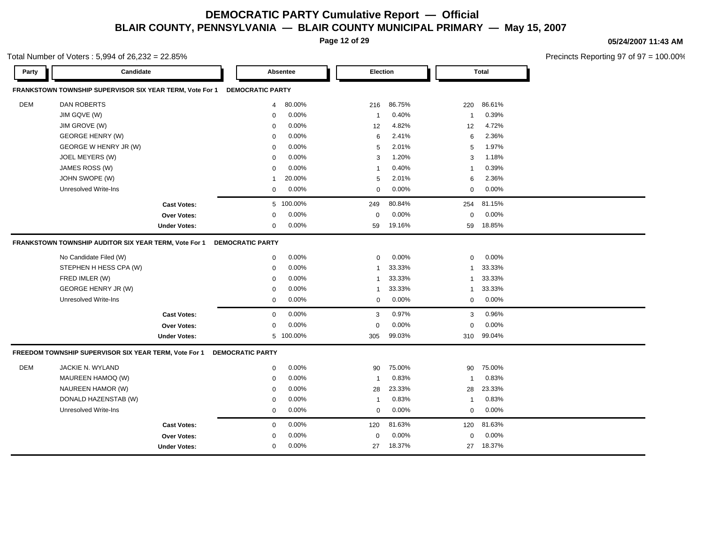**Page 12 of 29**

Total Number of Voters : 5,994 of 26,232 = 22.85%

#### **05/24/2007 11:43 AM**

| Party      | Candidate                                                |                     |                         | Absentee  | <b>Election</b>         |          |                         | <b>Total</b> |
|------------|----------------------------------------------------------|---------------------|-------------------------|-----------|-------------------------|----------|-------------------------|--------------|
|            | FRANKSTOWN TOWNSHIP SUPERVISOR SIX YEAR TERM, Vote For 1 |                     | <b>DEMOCRATIC PARTY</b> |           |                         |          |                         |              |
| <b>DEM</b> | <b>DAN ROBERTS</b>                                       |                     | 4                       | 80.00%    | 216                     | 86.75%   | 220                     | 86.61%       |
|            | JIM GQVE (W)                                             |                     | 0                       | 0.00%     | $\overline{1}$          | 0.40%    | $\overline{1}$          | 0.39%        |
|            | JIM GROVE (W)                                            |                     | $\mathbf 0$             | 0.00%     | 12                      | 4.82%    | 12                      | 4.72%        |
|            | <b>GEORGE HENRY (W)</b>                                  |                     | $\mathbf 0$             | 0.00%     | 6                       | 2.41%    | 6                       | 2.36%        |
|            | GEORGE W HENRY JR (W)                                    |                     | $\mathbf 0$             | $0.00\%$  | 5                       | 2.01%    | 5                       | 1.97%        |
|            | JOEL MEYERS (W)                                          |                     | $\mathbf 0$             | 0.00%     | 3                       | 1.20%    | 3                       | 1.18%        |
|            | JAMES ROSS (W)                                           |                     | $\mathbf 0$             | 0.00%     | $\overline{1}$          | 0.40%    | -1                      | 0.39%        |
|            | JOHN SWOPE (W)                                           |                     | $\overline{1}$          | 20.00%    | 5                       | 2.01%    | 6                       | 2.36%        |
|            | Unresolved Write-Ins                                     |                     | 0                       | 0.00%     | $\mathbf 0$             | 0.00%    | 0                       | 0.00%        |
|            |                                                          | <b>Cast Votes:</b>  |                         | 5 100.00% | 249                     | 80.84%   | 254                     | 81.15%       |
|            |                                                          | <b>Over Votes:</b>  | $\mathbf 0$             | $0.00\%$  | $\mathbf 0$             | $0.00\%$ | $\mathbf 0$             | $0.00\%$     |
|            |                                                          | <b>Under Votes:</b> | $\mathbf 0$             | 0.00%     | 59                      | 19.16%   | 59                      | 18.85%       |
|            | FRANKSTOWN TOWNSHIP AUDITOR SIX YEAR TERM, Vote For 1    |                     | <b>DEMOCRATIC PARTY</b> |           |                         |          |                         |              |
|            | No Candidate Filed (W)                                   |                     | $\mathbf 0$             | 0.00%     | $\mathbf 0$             | 0.00%    | $\mathbf 0$             | 0.00%        |
|            | STEPHEN H HESS CPA (W)                                   |                     | $\mathbf 0$             | 0.00%     | $\overline{\mathbf{1}}$ | 33.33%   | 1                       | 33.33%       |
|            | FRED IMLER (W)                                           |                     | $\mathbf 0$             | 0.00%     | $\overline{1}$          | 33.33%   | $\mathbf{1}$            | 33.33%       |
|            | GEORGE HENRY JR (W)                                      |                     | $\mathbf 0$             | 0.00%     | $\overline{\mathbf{1}}$ | 33.33%   | $\overline{1}$          | 33.33%       |
|            | Unresolved Write-Ins                                     |                     | $\mathbf 0$             | $0.00\%$  | $\mathbf 0$             | 0.00%    | $\mathbf 0$             | $0.00\%$     |
|            |                                                          | <b>Cast Votes:</b>  | $\mathbf 0$             | 0.00%     | 3                       | 0.97%    | 3                       | 0.96%        |
|            |                                                          | <b>Over Votes:</b>  | $\mathbf 0$             | 0.00%     | $\mathbf 0$             | 0.00%    | 0                       | 0.00%        |
|            |                                                          | <b>Under Votes:</b> |                         | 5 100.00% | 305                     | 99.03%   | 310                     | 99.04%       |
|            | FREEDOM TOWNSHIP SUPERVISOR SIX YEAR TERM, Vote For 1    |                     | <b>DEMOCRATIC PARTY</b> |           |                         |          |                         |              |
| DEM        | JACKIE N. WYLAND                                         |                     | $\mathbf 0$             | 0.00%     | 90                      | 75.00%   | 90                      | 75.00%       |
|            | MAUREEN HAMOQ (W)                                        |                     | $\mathbf 0$             | 0.00%     | $\overline{1}$          | 0.83%    | $\overline{\mathbf{1}}$ | 0.83%        |
|            | NAUREEN HAMOR (W)                                        |                     | $\mathbf 0$             | 0.00%     | 28                      | 23.33%   | 28                      | 23.33%       |
|            | DONALD HAZENSTAB (W)                                     |                     | $\mathbf 0$             | 0.00%     | $\overline{1}$          | 0.83%    | -1                      | 0.83%        |
|            | Unresolved Write-Ins                                     |                     | $\mathbf 0$             | 0.00%     | $\Omega$                | 0.00%    | $\mathbf 0$             | 0.00%        |
|            |                                                          | <b>Cast Votes:</b>  | $\mathbf 0$             | $0.00\%$  | 120                     | 81.63%   | 120                     | 81.63%       |
|            |                                                          | <b>Over Votes:</b>  | $\mathbf 0$             | 0.00%     | $\mathbf 0$             | 0.00%    | 0                       | 0.00%        |
|            |                                                          | <b>Under Votes:</b> | $\mathbf 0$             | 0.00%     | 27                      | 18.37%   | 27                      | 18.37%       |
|            |                                                          |                     |                         |           |                         |          |                         |              |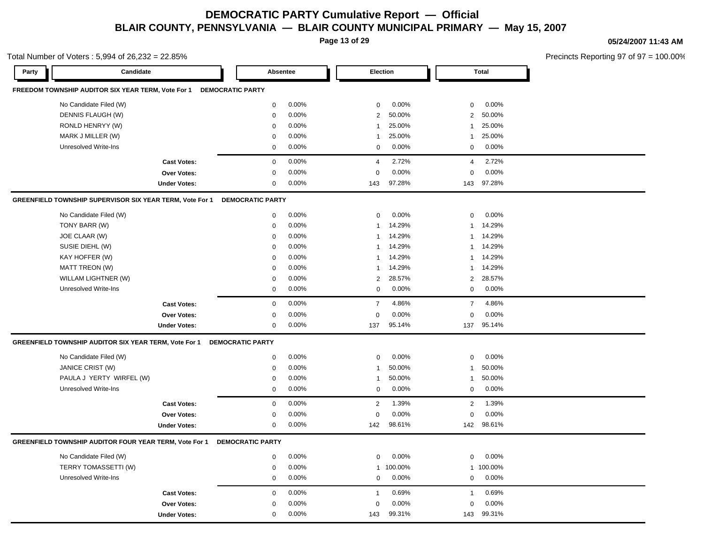**Page 13 of 29**

Total Number of Voters : 5,994 of 26,232 = 22.85%

#### **05/24/2007 11:43 AM**

| Party | Candidate                                                |                     | Absentee                |          |                | Election |                | <b>Total</b> |  |
|-------|----------------------------------------------------------|---------------------|-------------------------|----------|----------------|----------|----------------|--------------|--|
|       | FREEDOM TOWNSHIP AUDITOR SIX YEAR TERM, Vote For 1       |                     | <b>DEMOCRATIC PARTY</b> |          |                |          |                |              |  |
|       | No Candidate Filed (W)                                   |                     | $\mathbf 0$             | 0.00%    | $\mathbf 0$    | 0.00%    | $\mathbf 0$    | 0.00%        |  |
|       | DENNIS FLAUGH (W)                                        |                     | $\mathbf 0$             | 0.00%    | 2              | 50.00%   | $\overline{2}$ | 50.00%       |  |
|       | RONLD HENRYY (W)                                         |                     | $\mathbf 0$             | 0.00%    | $\mathbf{1}$   | 25.00%   | $\mathbf{1}$   | 25.00%       |  |
|       | MARK J MILLER (W)                                        |                     | $\mathbf 0$             | 0.00%    | $\mathbf{1}$   | 25.00%   | -1             | 25.00%       |  |
|       | <b>Unresolved Write-Ins</b>                              |                     | $\mathbf 0$             | 0.00%    | $\mathbf 0$    | 0.00%    | $\mathbf 0$    | 0.00%        |  |
|       |                                                          | <b>Cast Votes:</b>  | $\mathbf 0$             | 0.00%    | $\overline{4}$ | 2.72%    | $\overline{4}$ | 2.72%        |  |
|       |                                                          | <b>Over Votes:</b>  | $\mathbf 0$             | 0.00%    | $\Omega$       | 0.00%    | $\Omega$       | 0.00%        |  |
|       |                                                          | <b>Under Votes:</b> | $\mathbf 0$             | 0.00%    | 143            | 97.28%   | 143            | 97.28%       |  |
|       | GREENFIELD TOWNSHIP SUPERVISOR SIX YEAR TERM, Vote For 1 |                     | <b>DEMOCRATIC PARTY</b> |          |                |          |                |              |  |
|       | No Candidate Filed (W)                                   |                     | $\mathbf 0$             | 0.00%    | $\mathbf 0$    | 0.00%    | $\mathbf 0$    | 0.00%        |  |
|       | TONY BARR (W)                                            |                     | $\mathbf 0$             | 0.00%    | $\mathbf{1}$   | 14.29%   | $\mathbf{1}$   | 14.29%       |  |
|       | JOE CLAAR (W)                                            |                     | $\mathbf 0$             | $0.00\%$ | $\mathbf{1}$   | 14.29%   | $\mathbf{1}$   | 14.29%       |  |
|       | SUSIE DIEHL (W)                                          |                     | $\mathbf 0$             | 0.00%    | $\mathbf{1}$   | 14.29%   | $\mathbf{1}$   | 14.29%       |  |
|       | KAY HOFFER (W)                                           |                     | $\Omega$                | 0.00%    | $\mathbf{1}$   | 14.29%   | $\overline{1}$ | 14.29%       |  |
|       | <b>MATT TREON (W)</b>                                    |                     | $\mathbf 0$             | 0.00%    | $\mathbf{1}$   | 14.29%   | $\mathbf{1}$   | 14.29%       |  |
|       | WILLAM LIGHTNER (W)                                      |                     | $\mathbf 0$             | 0.00%    | 2              | 28.57%   | $\overline{2}$ | 28.57%       |  |
|       | <b>Unresolved Write-Ins</b>                              |                     | $\mathbf 0$             | 0.00%    | $\mathbf 0$    | 0.00%    | $\mathbf 0$    | 0.00%        |  |
|       |                                                          | <b>Cast Votes:</b>  | $\mathbf 0$             | 0.00%    | $\overline{7}$ | 4.86%    | $\overline{7}$ | 4.86%        |  |
|       |                                                          | Over Votes:         | $\mathbf 0$             | 0.00%    | $\mathbf 0$    | 0.00%    | $\mathbf 0$    | 0.00%        |  |
|       |                                                          | <b>Under Votes:</b> | 0                       | $0.00\%$ | 137            | 95.14%   | 137            | 95.14%       |  |
|       | GREENFIELD TOWNSHIP AUDITOR SIX YEAR TERM, Vote For 1    |                     | <b>DEMOCRATIC PARTY</b> |          |                |          |                |              |  |
|       | No Candidate Filed (W)                                   |                     | $\mathbf 0$             | 0.00%    | $\mathbf 0$    | 0.00%    | $\mathbf 0$    | 0.00%        |  |
|       | JANICE CRIST (W)                                         |                     | $\mathbf 0$             | 0.00%    | $\mathbf{1}$   | 50.00%   | -1             | 50.00%       |  |
|       | PAULA J YERTY WIRFEL (W)                                 |                     | $\mathbf 0$             | 0.00%    | $\mathbf{1}$   | 50.00%   | $\mathbf{1}$   | 50.00%       |  |
|       | Unresolved Write-Ins                                     |                     | $\mathbf 0$             | 0.00%    | $\mathbf 0$    | 0.00%    | $\mathbf 0$    | 0.00%        |  |
|       |                                                          | <b>Cast Votes:</b>  | $\mathbf 0$             | 0.00%    | 2              | 1.39%    | $\overline{2}$ | 1.39%        |  |
|       |                                                          | Over Votes:         | 0                       | 0.00%    | 0              | 0.00%    | $\Omega$       | 0.00%        |  |
|       |                                                          | <b>Under Votes:</b> | $\mathbf 0$             | 0.00%    | 142            | 98.61%   | 142            | 98.61%       |  |
|       | GREENFIELD TOWNSHIP AUDITOR FOUR YEAR TERM, Vote For 1   |                     | <b>DEMOCRATIC PARTY</b> |          |                |          |                |              |  |
|       | No Candidate Filed (W)                                   |                     | $\mathsf 0$             | 0.00%    | $\mathbf 0$    | 0.00%    | $\mathbf 0$    | 0.00%        |  |
|       | TERRY TOMASSETTI (W)                                     |                     | $\mathbf 0$             | $0.00\%$ | $\mathbf{1}$   | 100.00%  | $\mathbf{1}$   | 100.00%      |  |
|       | <b>Unresolved Write-Ins</b>                              |                     | $\mathbf 0$             | $0.00\%$ | $\mathbf 0$    | 0.00%    | $\mathbf 0$    | 0.00%        |  |
|       |                                                          | <b>Cast Votes:</b>  | $\mathbf 0$             | 0.00%    | $\mathbf{1}$   | 0.69%    | $\mathbf{1}$   | 0.69%        |  |
|       |                                                          | <b>Over Votes:</b>  | $\Omega$                | 0.00%    | $\Omega$       | 0.00%    | $\Omega$       | 0.00%        |  |
|       |                                                          |                     | $\mathsf 0$             | 0.00%    |                | 99.31%   | 143            | 99.31%       |  |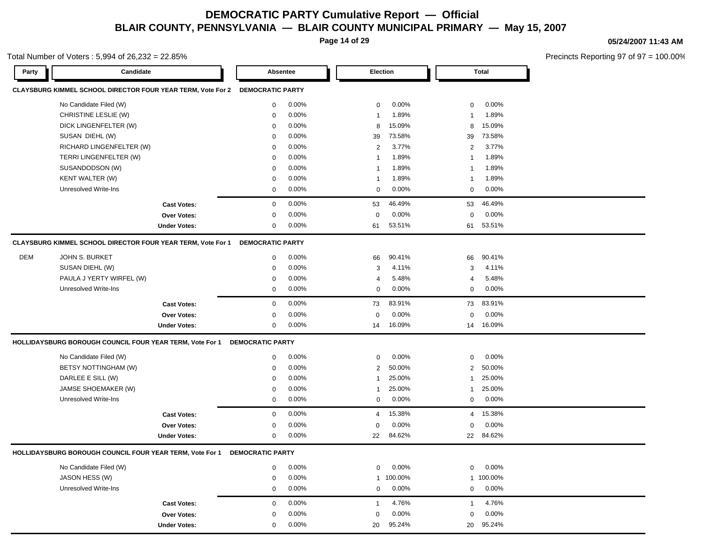**Page 14 of 29**

#### **05/24/2007 11:43 AM**

Precincts Reporting 97 of 97 = 100.00%

#### Total Number of Voters : 5,994 of 26,232 = 22.85%

| Party | Candidate                                                          |                     |                         | Absentee |              | <b>Election</b> |                | Total     |
|-------|--------------------------------------------------------------------|---------------------|-------------------------|----------|--------------|-----------------|----------------|-----------|
|       | <b>CLAYSBURG KIMMEL SCHOOL DIRECTOR FOUR YEAR TERM, Vote For 2</b> |                     | <b>DEMOCRATIC PARTY</b> |          |              |                 |                |           |
|       | No Candidate Filed (W)                                             |                     | 0                       | 0.00%    | $\mathbf 0$  | 0.00%           | $\mathbf 0$    | 0.00%     |
|       | CHRISTINE LESLIE (W)                                               |                     | 0                       | 0.00%    | -1           | 1.89%           | -1             | 1.89%     |
|       | DICK LINGENFELTER (W)                                              |                     | 0                       | 0.00%    | 8            | 15.09%          | 8              | 15.09%    |
|       | SUSAN DIEHL (W)                                                    |                     | 0                       | 0.00%    | 39           | 73.58%          | 39             | 73.58%    |
|       | RICHARD LINGENFELTER (W)                                           |                     | 0                       | 0.00%    | 2            | 3.77%           | 2              | 3.77%     |
|       | TERRI LINGENFELTER (W)                                             |                     | 0                       | 0.00%    | -1           | 1.89%           | -1             | 1.89%     |
|       | SUSANDODSON (W)                                                    |                     | 0                       | 0.00%    | -1           | 1.89%           | -1             | 1.89%     |
|       | KENT WALTER (W)                                                    |                     | 0                       | 0.00%    | -1           | 1.89%           | -1             | 1.89%     |
|       | <b>Unresolved Write-Ins</b>                                        |                     | 0                       | 0.00%    | $\mathbf 0$  | 0.00%           | 0              | 0.00%     |
|       |                                                                    | <b>Cast Votes:</b>  | $\mathbf 0$             | 0.00%    | 53           | 46.49%          | 53             | 46.49%    |
|       |                                                                    | Over Votes:         | $\mathbf 0$             | 0.00%    | $\mathbf 0$  | 0.00%           | 0              | 0.00%     |
|       |                                                                    | <b>Under Votes:</b> | 0                       | 0.00%    | 61           | 53.51%          | 61             | 53.51%    |
|       | CLAYSBURG KIMMEL SCHOOL DIRECTOR FOUR YEAR TERM, Vote For 1        |                     | <b>DEMOCRATIC PARTY</b> |          |              |                 |                |           |
| DEM   | JOHN S. BURKET                                                     |                     | 0                       | 0.00%    | 66           | 90.41%          | 66             | 90.41%    |
|       | SUSAN DIEHL (W)                                                    |                     | $\mathbf 0$             | 0.00%    | 3            | 4.11%           | 3              | 4.11%     |
|       | PAULA J YERTY WIRFEL (W)                                           |                     | 0                       | 0.00%    | 4            | 5.48%           | 4              | 5.48%     |
|       | <b>Unresolved Write-Ins</b>                                        |                     | 0                       | 0.00%    | $\mathbf 0$  | 0.00%           | 0              | 0.00%     |
|       |                                                                    | <b>Cast Votes:</b>  | $\mathbf 0$             | 0.00%    | 73           | 83.91%          | 73             | 83.91%    |
|       |                                                                    | Over Votes:         | $\mathbf 0$             | 0.00%    | $\mathbf 0$  | 0.00%           | 0              | 0.00%     |
|       |                                                                    | <b>Under Votes:</b> | $\mathbf 0$             | 0.00%    | 14           | 16.09%          | 14             | 16.09%    |
|       | <b>HOLLIDAYSBURG BOROUGH COUNCIL FOUR YEAR TERM, Vote For 1</b>    |                     | <b>DEMOCRATIC PARTY</b> |          |              |                 |                |           |
|       | No Candidate Filed (W)                                             |                     | $\mathbf 0$             | 0.00%    | $\mathbf 0$  | 0.00%           | $\mathbf 0$    | 0.00%     |
|       | BETSY NOTTINGHAM (W)                                               |                     | $\mathbf 0$             | 0.00%    | 2            | 50.00%          | 2              | 50.00%    |
|       | DARLEE E SILL (W)                                                  |                     | $\mathbf 0$             | 0.00%    | 1            | 25.00%          | $\mathbf{1}$   | 25.00%    |
|       | JAMSE SHOEMAKER (W)                                                |                     | 0                       | 0.00%    | 1            | 25.00%          | $\mathbf{1}$   | 25.00%    |
|       | Unresolved Write-Ins                                               |                     | $\mathbf 0$             | 0.00%    | 0            | 0.00%           | 0              | 0.00%     |
|       |                                                                    | <b>Cast Votes:</b>  | $\mathbf{0}$            | 0.00%    | 4            | 15.38%          | $\overline{4}$ | 15.38%    |
|       |                                                                    | Over Votes:         | 0                       | 0.00%    | $\mathbf 0$  | 0.00%           | $\mathbf 0$    | 0.00%     |
|       |                                                                    | <b>Under Votes:</b> | 0                       | 0.00%    | 22           | 84.62%          | 22             | 84.62%    |
|       | <b>HOLLIDAYSBURG BOROUGH COUNCIL FOUR YEAR TERM, Vote For 1</b>    |                     | <b>DEMOCRATIC PARTY</b> |          |              |                 |                |           |
|       | No Candidate Filed (W)                                             |                     | $\mathbf 0$             | 0.00%    | 0            | 0.00%           | 0              | 0.00%     |
|       | JASON HESS (W)                                                     |                     | 0                       | 0.00%    | $\mathbf{1}$ | 100.00%         |                | 1 100.00% |
|       | Unresolved Write-Ins                                               |                     | 0                       | 0.00%    | 0            | 0.00%           | 0              | $0.00\%$  |
|       |                                                                    | <b>Cast Votes:</b>  | 0                       | 0.00%    | $\mathbf{1}$ | 4.76%           | $\mathbf{1}$   | 4.76%     |
|       |                                                                    | Over Votes:         | $\mathbf 0$             | 0.00%    | 0            | 0.00%           | 0              | 0.00%     |
|       |                                                                    | <b>Under Votes:</b> | $\mathbf 0$             | 0.00%    | 20           | 95.24%          | 20             | 95.24%    |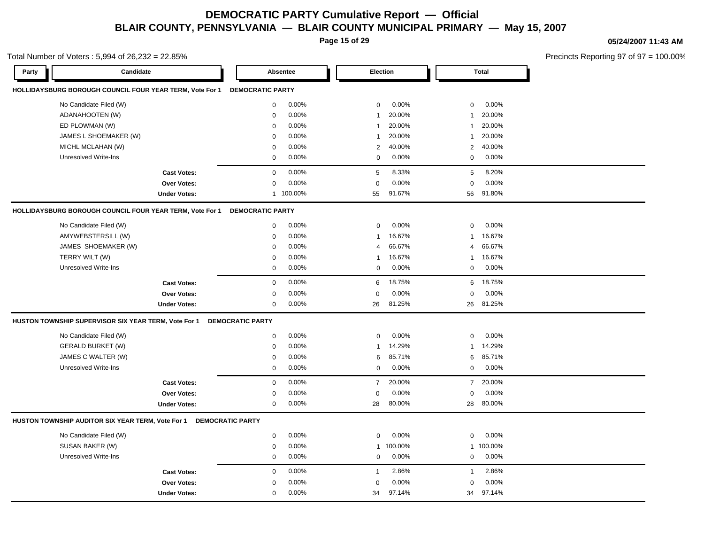**Page 15 of 29**

#### **05/24/2007 11:43 AM**

|       | Total Number of Voters: $5,994$ of $26,232 = 22.85\%$    |                     |                         |           |                 |           |                |              | Precincts Reporting 97 of 9 |
|-------|----------------------------------------------------------|---------------------|-------------------------|-----------|-----------------|-----------|----------------|--------------|-----------------------------|
| Party | Candidate                                                |                     | Absentee                |           | <b>Election</b> |           |                | <b>Total</b> |                             |
|       | HOLLIDAYSBURG BOROUGH COUNCIL FOUR YEAR TERM, Vote For 1 |                     | <b>DEMOCRATIC PARTY</b> |           |                 |           |                |              |                             |
|       | No Candidate Filed (W)                                   |                     | 0                       | 0.00%     | 0               | 0.00%     | 0              | 0.00%        |                             |
|       | ADANAHOOTEN (W)                                          |                     | $\mathbf 0$             | 0.00%     | $\mathbf{1}$    | 20.00%    | $\mathbf{1}$   | 20.00%       |                             |
|       | ED PLOWMAN (W)                                           |                     | $\mathsf 0$             | 0.00%     | $\mathbf{1}$    | 20.00%    | $\mathbf{1}$   | 20.00%       |                             |
|       | JAMES L SHOEMAKER (W)                                    |                     | $\mathbf 0$             | 0.00%     | $\mathbf{1}$    | 20.00%    | $\mathbf{1}$   | 20.00%       |                             |
|       | MICHL MCLAHAN (W)                                        |                     | $\mathbf 0$             | 0.00%     | $\overline{2}$  | 40.00%    | 2              | 40.00%       |                             |
|       | Unresolved Write-Ins                                     |                     | $\mathbf 0$             | 0.00%     | $\mathbf 0$     | 0.00%     | $\mathbf 0$    | 0.00%        |                             |
|       |                                                          | <b>Cast Votes:</b>  | $\mathbf 0$             | 0.00%     | 5               | 8.33%     | 5              | 8.20%        |                             |
|       |                                                          | Over Votes:         | $\mathbf 0$             | 0.00%     | $\mathbf 0$     | 0.00%     | $\mathbf 0$    | 0.00%        |                             |
|       |                                                          | <b>Under Votes:</b> |                         | 1 100.00% | 55              | 91.67%    | 56             | 91.80%       |                             |
|       | HOLLIDAYSBURG BOROUGH COUNCIL FOUR YEAR TERM, Vote For 1 |                     | <b>DEMOCRATIC PARTY</b> |           |                 |           |                |              |                             |
|       | No Candidate Filed (W)                                   |                     | $\mathbf 0$             | 0.00%     | $\mathbf 0$     | 0.00%     | $\mathbf 0$    | 0.00%        |                             |
|       | AMYWEBSTERSILL (W)                                       |                     | $\mathbf 0$             | 0.00%     | $\mathbf{1}$    | 16.67%    | $\mathbf{1}$   | 16.67%       |                             |
|       | JAMES SHOEMAKER (W)                                      |                     | $\mathbf 0$             | 0.00%     | 4               | 66.67%    | 4              | 66.67%       |                             |
|       | TERRY WILT (W)                                           |                     | $\mathbf 0$             | 0.00%     | 1               | 16.67%    | $\mathbf{1}$   | 16.67%       |                             |
|       | <b>Unresolved Write-Ins</b>                              |                     | $\mathbf 0$             | 0.00%     | 0               | 0.00%     | $\mathbf 0$    | 0.00%        |                             |
|       |                                                          | <b>Cast Votes:</b>  | $\mathbf 0$             | 0.00%     | 6               | 18.75%    | 6              | 18.75%       |                             |
|       |                                                          | <b>Over Votes:</b>  | $\Omega$                | 0.00%     | $\mathbf 0$     | 0.00%     | $\mathbf 0$    | 0.00%        |                             |
|       |                                                          | <b>Under Votes:</b> | 0                       | 0.00%     | 26              | 81.25%    | 26             | 81.25%       |                             |
|       | HUSTON TOWNSHIP SUPERVISOR SIX YEAR TERM, Vote For 1     |                     | <b>DEMOCRATIC PARTY</b> |           |                 |           |                |              |                             |
|       | No Candidate Filed (W)                                   |                     | 0                       | 0.00%     | $\mathsf 0$     | 0.00%     | $\mathbf 0$    | 0.00%        |                             |
|       | <b>GERALD BURKET (W)</b>                                 |                     | $\mathbf 0$             | 0.00%     | 1               | 14.29%    | $\mathbf{1}$   | 14.29%       |                             |
|       | JAMES C WALTER (W)                                       |                     | $\mathbf 0$             | 0.00%     | 6               | 85.71%    | 6              | 85.71%       |                             |
|       | <b>Unresolved Write-Ins</b>                              |                     | $\mathbf 0$             | 0.00%     | 0               | 0.00%     | $\mathbf 0$    | 0.00%        |                             |
|       |                                                          | <b>Cast Votes:</b>  | $\mathbf 0$             | 0.00%     | $\overline{7}$  | 20.00%    | $\overline{7}$ | 20.00%       |                             |
|       |                                                          | <b>Over Votes:</b>  | $\mathbf 0$             | 0.00%     | $\mathbf 0$     | 0.00%     | $\Omega$       | 0.00%        |                             |
|       |                                                          | <b>Under Votes:</b> | $\mathbf 0$             | 0.00%     | 28              | 80.00%    | 28             | 80.00%       |                             |
|       | HUSTON TOWNSHIP AUDITOR SIX YEAR TERM, Vote For 1        |                     | <b>DEMOCRATIC PARTY</b> |           |                 |           |                |              |                             |
|       | No Candidate Filed (W)                                   |                     | $\mathbf 0$             | 0.00%     | 0               | 0.00%     | $\mathbf 0$    | 0.00%        |                             |
|       | SUSAN BAKER (W)                                          |                     | 0                       | 0.00%     |                 | 1 100.00% |                | 1 100.00%    |                             |
|       | <b>Unresolved Write-Ins</b>                              |                     | $\mathbf 0$             | 0.00%     | $\mathbf 0$     | 0.00%     | $\mathbf 0$    | 0.00%        |                             |
|       |                                                          | <b>Cast Votes:</b>  | $\mathbf 0$             | 0.00%     | -1              | 2.86%     | $\mathbf{1}$   | 2.86%        |                             |
|       |                                                          | Over Votes:         | $\mathbf 0$             | 0.00%     | $\mathbf 0$     | 0.00%     | $\mathbf 0$    | 0.00%        |                             |
|       |                                                          | <b>Under Votes:</b> | $\mathbf 0$             | 0.00%     | 34              | 97.14%    | 34             | 97.14%       |                             |
|       |                                                          |                     |                         |           |                 |           |                |              |                             |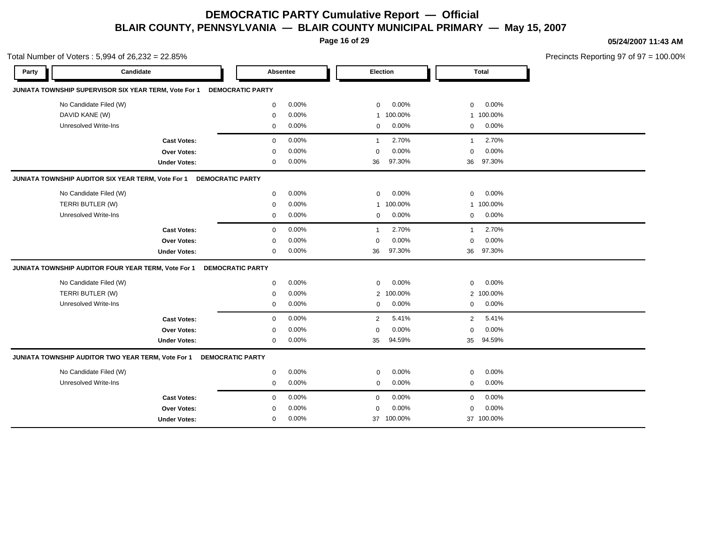**Page 16 of 29**

**05/24/2007 11:43 AM**

|       | Total Number of Voters: 5,994 of 26,232 = 22.85%      |                     |                         |          |                |           |                         | Precincts Reporting 97 of 97 = 100.00% |
|-------|-------------------------------------------------------|---------------------|-------------------------|----------|----------------|-----------|-------------------------|----------------------------------------|
| Party | Candidate                                             |                     |                         | Absentee |                | Election  | <b>Total</b>            |                                        |
|       | JUNIATA TOWNSHIP SUPERVISOR SIX YEAR TERM, Vote For 1 |                     | <b>DEMOCRATIC PARTY</b> |          |                |           |                         |                                        |
|       | No Candidate Filed (W)                                |                     | 0                       | 0.00%    | 0              | 0.00%     | 0.00%<br>$\mathbf 0$    |                                        |
|       | DAVID KANE (W)                                        |                     | $\mathbf 0$             | 0.00%    |                | 1 100.00% | 1 100.00%               |                                        |
|       | Unresolved Write-Ins                                  |                     | 0                       | 0.00%    | 0              | 0.00%     | 0.00%<br>$\mathbf 0$    |                                        |
|       |                                                       | <b>Cast Votes:</b>  | $\mathbf 0$             | 0.00%    | $\overline{1}$ | 2.70%     | 2.70%<br>$\mathbf{1}$   |                                        |
|       |                                                       | Over Votes:         | $\Omega$                | 0.00%    | $\mathbf 0$    | 0.00%     | 0.00%<br>$\mathbf 0$    |                                        |
|       |                                                       | <b>Under Votes:</b> | 0                       | 0.00%    | 36             | 97.30%    | 97.30%<br>36            |                                        |
|       | JUNIATA TOWNSHIP AUDITOR SIX YEAR TERM, Vote For 1    |                     | <b>DEMOCRATIC PARTY</b> |          |                |           |                         |                                        |
|       | No Candidate Filed (W)                                |                     | $\mathbf 0$             | 0.00%    | $\mathbf{0}$   | 0.00%     | 0.00%<br>$\mathbf 0$    |                                        |
|       | TERRI BUTLER (W)                                      |                     | $\mathbf 0$             | 0.00%    |                | 1 100.00% | 1 100.00%               |                                        |
|       | Unresolved Write-Ins                                  |                     | 0                       | 0.00%    | 0              | 0.00%     | 0.00%<br>$\mathbf{0}$   |                                        |
|       |                                                       | <b>Cast Votes:</b>  | $\mathbf 0$             | 0.00%    | -1             | 2.70%     | 2.70%<br>$\mathbf{1}$   |                                        |
|       |                                                       | Over Votes:         | $\mathbf 0$             | 0.00%    | 0              | 0.00%     | 0.00%<br>$\mathbf 0$    |                                        |
|       |                                                       | <b>Under Votes:</b> | 0                       | 0.00%    | 36             | 97.30%    | 97.30%<br>36            |                                        |
|       | JUNIATA TOWNSHIP AUDITOR FOUR YEAR TERM, Vote For 1   |                     | <b>DEMOCRATIC PARTY</b> |          |                |           |                         |                                        |
|       | No Candidate Filed (W)                                |                     | $\mathbf 0$             | 0.00%    | $\mathbf 0$    | 0.00%     | 0.00%<br>$\mathbf 0$    |                                        |
|       | TERRI BUTLER (W)                                      |                     | $\mathbf 0$             | 0.00%    | $\overline{2}$ | 100.00%   | 2 100.00%               |                                        |
|       | Unresolved Write-Ins                                  |                     | 0                       | 0.00%    | 0              | 0.00%     | 0.00%<br>$\mathbf 0$    |                                        |
|       |                                                       | <b>Cast Votes:</b>  | $\mathbf 0$             | 0.00%    | 2              | 5.41%     | 5.41%<br>$\overline{2}$ |                                        |
|       |                                                       | <b>Over Votes:</b>  | $\Omega$                | 0.00%    | $\mathbf 0$    | 0.00%     | 0.00%<br>$\mathbf 0$    |                                        |
|       |                                                       | <b>Under Votes:</b> | 0                       | $0.00\%$ | 35             | 94.59%    | 35<br>94.59%            |                                        |
|       | JUNIATA TOWNSHIP AUDITOR TWO YEAR TERM, Vote For 1    |                     | <b>DEMOCRATIC PARTY</b> |          |                |           |                         |                                        |
|       | No Candidate Filed (W)                                |                     | $\mathbf 0$             | 0.00%    | $\mathbf 0$    | 0.00%     | 0.00%<br>$\mathbf 0$    |                                        |
|       | <b>Unresolved Write-Ins</b>                           |                     | 0                       | 0.00%    | 0              | 0.00%     | 0.00%<br>$\mathbf 0$    |                                        |
|       |                                                       | <b>Cast Votes:</b>  | $\mathbf 0$             | 0.00%    | $\mathbf{0}$   | 0.00%     | 0.00%<br>$\mathbf{0}$   |                                        |
|       |                                                       | Over Votes:         | $\Omega$                | 0.00%    | $\mathbf 0$    | 0.00%     | 0.00%<br>$\mathbf 0$    |                                        |
|       |                                                       | <b>Under Votes:</b> | $\mathbf 0$             | 0.00%    | 37             | 100.00%   | 37 100.00%              |                                        |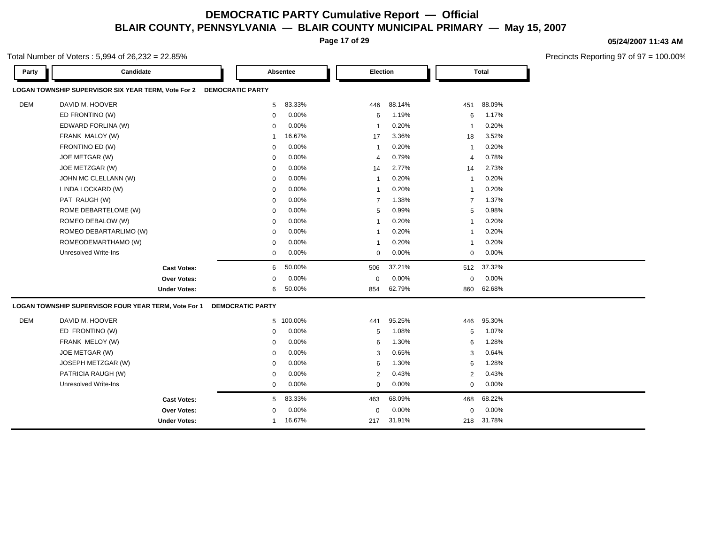**Page 17 of 29**

### **05/24/2007 11:43 AM**

| Total Number of Voters : 5,994 of 26,232 = 22.85% |
|---------------------------------------------------|
|---------------------------------------------------|

| Party      | Candidate                                            |                         | Absentee  | Election       |        |                | <b>Total</b> |
|------------|------------------------------------------------------|-------------------------|-----------|----------------|--------|----------------|--------------|
|            | LOGAN TOWNSHIP SUPERVISOR SIX YEAR TERM, Vote For 2  | <b>DEMOCRATIC PARTY</b> |           |                |        |                |              |
| <b>DEM</b> | DAVID M. HOOVER                                      | 5                       | 83.33%    | 446            | 88.14% | 451            | 88.09%       |
|            | ED FRONTINO (W)                                      | $\mathbf 0$             | 0.00%     | 6              | 1.19%  | 6              | 1.17%        |
|            | EDWARD FORLINA (W)                                   | $\mathbf 0$             | 0.00%     | $\overline{1}$ | 0.20%  | $\overline{1}$ | 0.20%        |
|            | FRANK MALOY (W)                                      | 1                       | 16.67%    | 17             | 3.36%  | 18             | 3.52%        |
|            | FRONTINO ED (W)                                      | $\mathbf 0$             | 0.00%     | $\overline{1}$ | 0.20%  | -1             | 0.20%        |
|            | JOE METGAR (W)                                       | $\mathbf 0$             | 0.00%     | 4              | 0.79%  | $\overline{4}$ | 0.78%        |
|            | JOE METZGAR (W)                                      | $\mathbf 0$             | 0.00%     | 14             | 2.77%  | 14             | 2.73%        |
|            | JOHN MC CLELLANN (W)                                 | $\mathbf 0$             | 0.00%     | $\overline{1}$ | 0.20%  | $\overline{1}$ | 0.20%        |
|            | LINDA LOCKARD (W)                                    | $\mathbf 0$             | 0.00%     | $\overline{1}$ | 0.20%  | $\overline{1}$ | 0.20%        |
|            | PAT RAUGH (W)                                        | 0                       | 0.00%     | $\overline{7}$ | 1.38%  | $\overline{7}$ | 1.37%        |
|            | ROME DEBARTELOME (W)                                 | $\mathbf 0$             | 0.00%     | 5              | 0.99%  | 5              | 0.98%        |
|            | ROMEO DEBALOW (W)                                    | $\mathbf 0$             | 0.00%     | $\overline{1}$ | 0.20%  | $\overline{1}$ | 0.20%        |
|            | ROMEO DEBARTARLIMO (W)                               | $\mathbf 0$             | 0.00%     | $\overline{1}$ | 0.20%  | $\overline{1}$ | 0.20%        |
|            | ROMEODEMARTHAMO (W)                                  | $\mathbf 0$             | 0.00%     | 1              | 0.20%  | $\overline{1}$ | 0.20%        |
|            | <b>Unresolved Write-Ins</b>                          | 0                       | 0.00%     | $\mathbf 0$    | 0.00%  | $\mathbf 0$    | 0.00%        |
|            | <b>Cast Votes:</b>                                   | 6                       | 50.00%    | 506            | 37.21% | 512            | 37.32%       |
|            | Over Votes:                                          | 0                       | 0.00%     | $\mathbf 0$    | 0.00%  | $\mathbf 0$    | 0.00%        |
|            | <b>Under Votes:</b>                                  | 6                       | 50.00%    | 854            | 62.79% | 860            | 62.68%       |
|            | LOGAN TOWNSHIP SUPERVISOR FOUR YEAR TERM, Vote For 1 | <b>DEMOCRATIC PARTY</b> |           |                |        |                |              |
| <b>DEM</b> | DAVID M. HOOVER                                      |                         | 5 100.00% | 441            | 95.25% | 446            | 95.30%       |
|            | ED FRONTINO (W)                                      | 0                       | 0.00%     | 5              | 1.08%  | 5              | 1.07%        |
|            | FRANK MELOY (W)                                      | $\mathbf 0$             | 0.00%     | 6              | 1.30%  | 6              | 1.28%        |
|            | JOE METGAR (W)                                       | $\mathbf 0$             | 0.00%     | 3              | 0.65%  | 3              | 0.64%        |
|            | JOSEPH METZGAR (W)                                   | 0                       | 0.00%     | 6              | 1.30%  | 6              | 1.28%        |
|            | PATRICIA RAUGH (W)                                   | 0                       | 0.00%     | $\overline{2}$ | 0.43%  | $\overline{2}$ | 0.43%        |
|            | <b>Unresolved Write-Ins</b>                          | 0                       | 0.00%     | $\mathbf 0$    | 0.00%  | $\mathbf 0$    | 0.00%        |
|            | <b>Cast Votes:</b>                                   | 5                       | 83.33%    | 463            | 68.09% | 468            | 68.22%       |
|            | <b>Over Votes:</b>                                   | $\mathbf 0$             | 0.00%     | $\mathbf 0$    | 0.00%  | $\mathbf 0$    | 0.00%        |
|            | <b>Under Votes:</b>                                  | 1                       | 16.67%    | 217            | 31.91% | 218            | 31.78%       |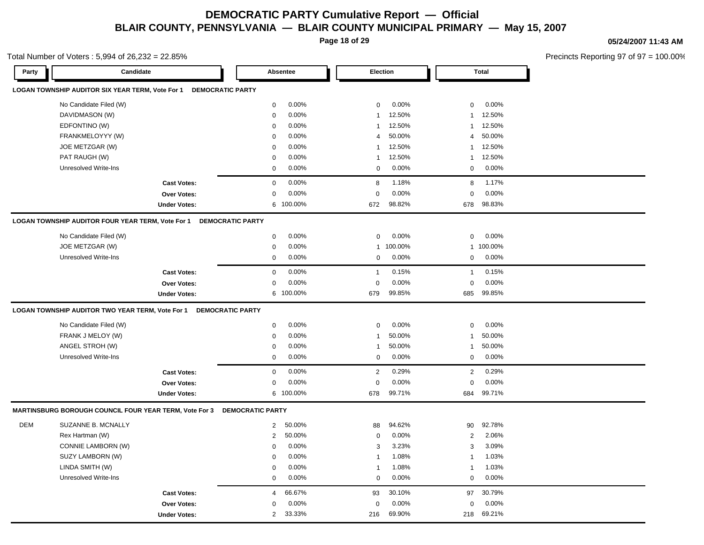**Page 18 of 29**

Total Number of Voters : 5,994 of 26,232 = 22.85%

#### **05/24/2007 11:43 AM**

| Party      | Candidate                                              |                                                                   |                         | Absentee  |                         | Election |                         | <b>Total</b> |
|------------|--------------------------------------------------------|-------------------------------------------------------------------|-------------------------|-----------|-------------------------|----------|-------------------------|--------------|
|            | LOGAN TOWNSHIP AUDITOR SIX YEAR TERM, Vote For 1       | <b>DEMOCRATIC PARTY</b>                                           |                         |           |                         |          |                         |              |
|            | No Candidate Filed (W)                                 |                                                                   | $\mathbf 0$             | 0.00%     | $\mathbf 0$             | 0.00%    | 0                       | 0.00%        |
|            | DAVIDMASON (W)                                         |                                                                   | 0                       | 0.00%     | $\overline{\mathbf{1}}$ | 12.50%   | $\overline{\mathbf{1}}$ | 12.50%       |
|            | EDFONTINO (W)                                          |                                                                   | $\mathbf 0$             | 0.00%     | $\overline{1}$          | 12.50%   | $\mathbf{1}$            | 12.50%       |
|            | FRANKMELOYYY (W)                                       |                                                                   | $\mathbf 0$             | 0.00%     | $\overline{4}$          | 50.00%   | $\overline{4}$          | 50.00%       |
|            | JOE METZGAR (W)                                        |                                                                   | $\mathbf 0$             | 0.00%     | $\overline{1}$          | 12.50%   | $\mathbf{1}$            | 12.50%       |
|            | PAT RAUGH (W)                                          |                                                                   | 0                       | 0.00%     | $\overline{1}$          | 12.50%   | $\overline{1}$          | 12.50%       |
|            | Unresolved Write-Ins                                   |                                                                   | $\mathbf 0$             | 0.00%     | 0                       | 0.00%    | 0                       | 0.00%        |
|            |                                                        | <b>Cast Votes:</b>                                                | $\mathsf{O}\xspace$     | 0.00%     | 8                       | 1.18%    | 8                       | 1.17%        |
|            |                                                        | <b>Over Votes:</b>                                                | 0                       | 0.00%     | $\mathbf 0$             | 0.00%    | $\mathbf 0$             | 0.00%        |
|            |                                                        | <b>Under Votes:</b>                                               |                         | 6 100.00% | 672                     | 98.82%   | 678                     | 98.83%       |
|            | LOGAN TOWNSHIP AUDITOR FOUR YEAR TERM, Vote For 1      | <b>DEMOCRATIC PARTY</b>                                           |                         |           |                         |          |                         |              |
|            | No Candidate Filed (W)                                 |                                                                   | 0                       | 0.00%     | $\mathbf 0$             | 0.00%    | $\mathbf 0$             | 0.00%        |
|            | JOE METZGAR (W)                                        |                                                                   | 0                       | 0.00%     | $\overline{1}$          | 100.00%  | $\mathbf{1}$            | 100.00%      |
|            | <b>Unresolved Write-Ins</b>                            |                                                                   | $\mathbf 0$             | 0.00%     | $\mathbf 0$             | 0.00%    | 0                       | 0.00%        |
|            |                                                        | <b>Cast Votes:</b>                                                | $\mathbf 0$             | 0.00%     | $\mathbf{1}$            | 0.15%    | $\overline{1}$          | 0.15%        |
|            |                                                        | <b>Over Votes:</b>                                                | $\mathbf 0$             | 0.00%     | $\mathbf 0$             | 0.00%    | $\Omega$                | 0.00%        |
|            |                                                        | <b>Under Votes:</b>                                               |                         | 6 100.00% | 679                     | 99.85%   | 685                     | 99.85%       |
|            |                                                        | LOGAN TOWNSHIP AUDITOR TWO YEAR TERM, Vote For 1 DEMOCRATIC PARTY |                         |           |                         |          |                         |              |
|            | No Candidate Filed (W)                                 |                                                                   | 0                       | 0.00%     | $\mathbf 0$             | 0.00%    | $\mathbf 0$             | 0.00%        |
|            | FRANK J MELOY (W)                                      |                                                                   | 0                       | 0.00%     | $\overline{1}$          | 50.00%   | $\overline{1}$          | 50.00%       |
|            | ANGEL STROH (W)                                        |                                                                   | 0                       | 0.00%     | $\overline{1}$          | 50.00%   | $\overline{1}$          | 50.00%       |
|            | <b>Unresolved Write-Ins</b>                            |                                                                   | $\mathbf 0$             | 0.00%     | $\mathbf 0$             | 0.00%    | 0                       | 0.00%        |
|            |                                                        | <b>Cast Votes:</b>                                                | $\mathbf 0$             | 0.00%     | $\overline{2}$          | 0.29%    | 2                       | 0.29%        |
|            |                                                        | Over Votes:                                                       | 0                       | 0.00%     | $\mathbf 0$             | 0.00%    | $\mathbf 0$             | 0.00%        |
|            |                                                        | <b>Under Votes:</b>                                               | 6                       | 100.00%   | 678                     | 99.71%   | 684                     | 99.71%       |
|            | MARTINSBURG BOROUGH COUNCIL FOUR YEAR TERM, Vote For 3 |                                                                   | <b>DEMOCRATIC PARTY</b> |           |                         |          |                         |              |
| <b>DEM</b> | SUZANNE B. MCNALLY                                     |                                                                   | $\overline{2}$          | 50.00%    | 88                      | 94.62%   | 90                      | 92.78%       |
|            | Rex Hartman (W)                                        |                                                                   | $\mathbf{2}$            | 50.00%    | $\mathbf 0$             | 0.00%    | 2                       | 2.06%        |
|            | CONNIE LAMBORN (W)                                     |                                                                   | $\mathbf 0$             | 0.00%     | 3                       | 3.23%    | 3                       | 3.09%        |
|            | SUZY LAMBORN (W)                                       |                                                                   | $\mathbf 0$             | 0.00%     | $\overline{1}$          | 1.08%    | $\overline{1}$          | 1.03%        |
|            | LINDA SMITH (W)                                        |                                                                   | $\mathbf 0$             | 0.00%     | $\overline{1}$          | 1.08%    | $\overline{1}$          | 1.03%        |
|            | <b>Unresolved Write-Ins</b>                            |                                                                   | 0                       | 0.00%     | $\mathbf 0$             | 0.00%    | $\mathbf 0$             | 0.00%        |
|            |                                                        | <b>Cast Votes:</b>                                                | 4                       | 66.67%    | 93                      | 30.10%   | 97                      | 30.79%       |
|            |                                                        | <b>Over Votes:</b>                                                | $\mathbf 0$             | 0.00%     | $\mathbf 0$             | 0.00%    | 0                       | 0.00%        |
|            |                                                        | <b>Under Votes:</b>                                               | $\overline{2}$          | 33.33%    | 216                     | 69.90%   | 218                     | 69.21%       |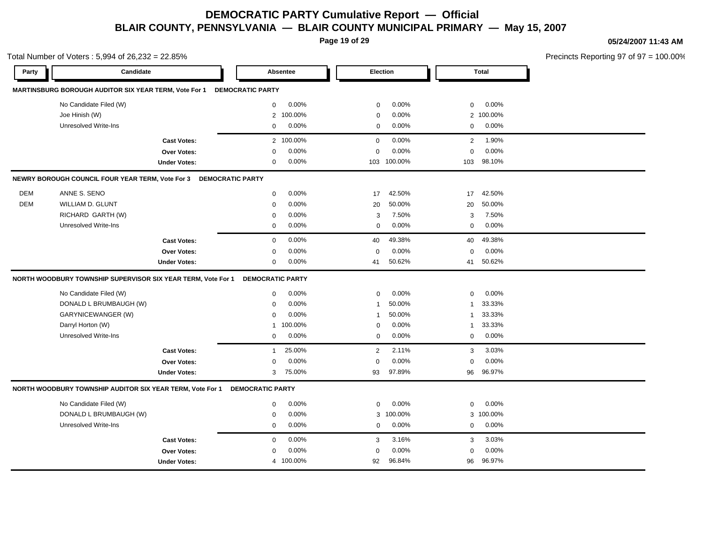**Page 19 of 29**

Total Number of Voters : 5,994 of 26,232 = 22.85%

#### **05/24/2007 11:43 AM**

| Party      | Candidate                                                    |                         | Absentee                | Election               | <b>Total</b>           |  |
|------------|--------------------------------------------------------------|-------------------------|-------------------------|------------------------|------------------------|--|
|            | MARTINSBURG BOROUGH AUDITOR SIX YEAR TERM, Vote For 1        |                         | <b>DEMOCRATIC PARTY</b> |                        |                        |  |
|            | No Candidate Filed (W)                                       |                         | 0.00%<br>$\mathbf 0$    | 0.00%<br>$\mathbf 0$   | 0.00%<br>$\mathbf 0$   |  |
|            | Joe Hinish (W)                                               |                         | 2 100.00%               | 0.00%<br>$\mathbf 0$   | 2 100.00%              |  |
|            | <b>Unresolved Write-Ins</b>                                  |                         | 0.00%<br>$\mathbf 0$    | 0.00%<br>$\mathbf 0$   | 0.00%<br>0             |  |
|            |                                                              | <b>Cast Votes:</b>      | 2 100.00%               | 0.00%<br>$\mathbf 0$   | 1.90%<br>$\mathbf{2}$  |  |
|            |                                                              | <b>Over Votes:</b>      | 0.00%<br>$\mathbf 0$    | $\mathbf 0$<br>0.00%   | $\mathbf 0$<br>0.00%   |  |
|            |                                                              | <b>Under Votes:</b>     | 0.00%<br>$\mathbf 0$    | 103 100.00%            | 98.10%<br>103          |  |
|            | NEWRY BOROUGH COUNCIL FOUR YEAR TERM, Vote For 3             | <b>DEMOCRATIC PARTY</b> |                         |                        |                        |  |
| <b>DEM</b> | ANNE S. SENO                                                 |                         | 0.00%<br>$\mathsf{O}$   | 42.50%<br>17           | 42.50%<br>17           |  |
| <b>DEM</b> | <b>WILLIAM D. GLUNT</b>                                      |                         | 0.00%<br>$\mathbf 0$    | 50.00%<br>20           | 20<br>50.00%           |  |
|            | RICHARD GARTH (W)                                            |                         | 0.00%<br>0              | 7.50%<br>3             | 3<br>7.50%             |  |
|            | <b>Unresolved Write-Ins</b>                                  |                         | 0.00%<br>$\mathbf 0$    | 0.00%<br>$\mathbf 0$   | 0.00%<br>0             |  |
|            |                                                              | <b>Cast Votes:</b>      | 0.00%<br>$\mathbf 0$    | 49.38%<br>40           | 49.38%<br>40           |  |
|            |                                                              | Over Votes:             | 0.00%<br>$\mathbf 0$    | 0.00%<br>$\mathbf 0$   | 0.00%<br>$\mathbf 0$   |  |
|            |                                                              | <b>Under Votes:</b>     | $0.00\%$<br>$\mathbf 0$ | 50.62%<br>41           | 50.62%<br>41           |  |
|            | NORTH WOODBURY TOWNSHIP SUPERVISOR SIX YEAR TERM, Vote For 1 |                         | <b>DEMOCRATIC PARTY</b> |                        |                        |  |
|            | No Candidate Filed (W)                                       |                         | 0.00%<br>$\mathbf 0$    | 0.00%<br>$\mathbf 0$   | 0.00%<br>0             |  |
|            | DONALD L BRUMBAUGH (W)                                       |                         | 0.00%<br>$\mathbf 0$    | 50.00%<br>$\mathbf{1}$ | 33.33%<br>1            |  |
|            | <b>GARYNICEWANGER (W)</b>                                    |                         | 0.00%<br>$\mathbf 0$    | 50.00%<br>$\mathbf{1}$ | 33.33%<br>$\mathbf{1}$ |  |
|            | Darryl Horton (W)                                            |                         | 100.00%<br>1            | 0.00%<br>$\mathbf 0$   | 33.33%<br>1            |  |
|            | <b>Unresolved Write-Ins</b>                                  |                         | 0.00%<br>$\mathbf 0$    | 0.00%<br>$\mathbf 0$   | 0.00%<br>$\mathbf 0$   |  |
|            |                                                              | <b>Cast Votes:</b>      | 25.00%<br>$\mathbf{1}$  | 2.11%<br>2             | 3<br>3.03%             |  |
|            |                                                              | Over Votes:             | 0.00%<br>$\mathbf 0$    | $\mathbf 0$<br>0.00%   | 0.00%<br>$\Omega$      |  |
|            |                                                              | <b>Under Votes:</b>     | 75.00%<br>3             | 97.89%<br>93           | 96.97%<br>96           |  |
|            | NORTH WOODBURY TOWNSHIP AUDITOR SIX YEAR TERM, Vote For 1    |                         | <b>DEMOCRATIC PARTY</b> |                        |                        |  |
|            | No Candidate Filed (W)                                       |                         | 0.00%<br>$\mathbf 0$    | 0.00%<br>$\mathbf 0$   | 0.00%<br>0             |  |
|            | DONALD L BRUMBAUGH (W)                                       |                         | 0.00%<br>$\mathbf 0$    | 100.00%<br>3           | 3 100.00%              |  |
|            | <b>Unresolved Write-Ins</b>                                  |                         | $0.00\%$<br>$\mathbf 0$ | 0.00%<br>$\mathbf 0$   | 0.00%<br>0             |  |
|            |                                                              | <b>Cast Votes:</b>      | 0.00%<br>$\mathbf 0$    | 3.16%<br>3             | 3.03%<br>3             |  |
|            |                                                              | <b>Over Votes:</b>      | 0.00%<br>$\mathbf 0$    | 0.00%<br>$\mathbf 0$   | 0.00%<br>$\mathbf 0$   |  |
|            |                                                              | <b>Under Votes:</b>     | 4 100.00%               | 96.84%<br>92           | 96.97%<br>96           |  |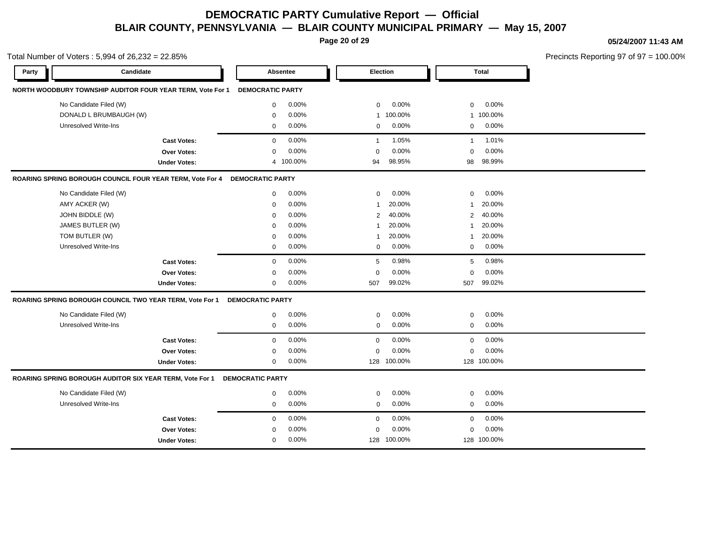**Page 20 of 29**

Total Number of Voters : 5,994 of 26,232 = 22.85%

**05/24/2007 11:43 AM**

| Candidate<br>Party                                         | Absentee                | <b>Election</b> | <b>Total</b> |  |  |  |  |  |  |  |  |
|------------------------------------------------------------|-------------------------|-----------------|--------------|--|--|--|--|--|--|--|--|
| NORTH WOODBURY TOWNSHIP AUDITOR FOUR YEAR TERM, Vote For 1 | <b>DEMOCRATIC PARTY</b> |                 |              |  |  |  |  |  |  |  |  |
| No Candidate Filed (W)                                     | $\mathbf{0}$            | 0.00%           | $\mathbf 0$  |  |  |  |  |  |  |  |  |
|                                                            | $0.00\%$                | $\mathbf 0$     | $0.00\%$     |  |  |  |  |  |  |  |  |
| DONALD L BRUMBAUGH (W)                                     | 0.00%<br>$\mathbf 0$    | 1 100.00%       | 1 100.00%    |  |  |  |  |  |  |  |  |
| Unresolved Write-Ins                                       | 0.00%                   | 0.00%           | 0.00%        |  |  |  |  |  |  |  |  |
|                                                            | 0                       | $\mathbf 0$     | $\mathbf 0$  |  |  |  |  |  |  |  |  |
| <b>Cast Votes:</b>                                         | 0.00%                   | 1.05%           | 1.01%        |  |  |  |  |  |  |  |  |
|                                                            | $\mathbf{0}$            | $\mathbf{1}$    | $\mathbf{1}$ |  |  |  |  |  |  |  |  |
| <b>Over Votes:</b>                                         | 0.00%                   | 0.00%           | 0.00%        |  |  |  |  |  |  |  |  |
|                                                            | 0                       | $\Omega$        | $\Omega$     |  |  |  |  |  |  |  |  |
| <b>Under Votes:</b>                                        | 4 100.00%               | 98.95%<br>94    | 98.99%<br>98 |  |  |  |  |  |  |  |  |
| ROARING SPRING BOROUGH COUNCIL FOUR YEAR TERM, Vote For 4  | <b>DEMOCRATIC PARTY</b> |                 |              |  |  |  |  |  |  |  |  |
| No Candidate Filed (W)                                     | 0.00%                   | 0.00%           | 0.00%        |  |  |  |  |  |  |  |  |
|                                                            | $\mathbf{0}$            | $\mathbf 0$     | $\Omega$     |  |  |  |  |  |  |  |  |
| AMY ACKER (W)                                              | 0.00%                   | 20.00%          | 20.00%       |  |  |  |  |  |  |  |  |
|                                                            | $\mathbf 0$             | $\mathbf{1}$    | $\mathbf{1}$ |  |  |  |  |  |  |  |  |
| JOHN BIDDLE (W)                                            | 0.00%                   | 40.00%          | 40.00%       |  |  |  |  |  |  |  |  |
|                                                            | 0                       | 2               | 2            |  |  |  |  |  |  |  |  |
| JAMES BUTLER (W)                                           | 0.00%                   | 20.00%          | 20.00%       |  |  |  |  |  |  |  |  |
|                                                            | $\mathbf 0$             | $\mathbf{1}$    | $\mathbf{1}$ |  |  |  |  |  |  |  |  |
| TOM BUTLER (W)                                             | 0.00%                   | 20.00%          | 20.00%       |  |  |  |  |  |  |  |  |
|                                                            | 0                       | $\mathbf{1}$    | 1            |  |  |  |  |  |  |  |  |
| Unresolved Write-Ins                                       | 0.00%                   | 0.00%           | 0.00%        |  |  |  |  |  |  |  |  |
|                                                            | $\mathbf 0$             | $\mathbf 0$     | $\mathbf 0$  |  |  |  |  |  |  |  |  |
| <b>Cast Votes:</b>                                         | 0.00%                   | 5               | 0.98%        |  |  |  |  |  |  |  |  |
|                                                            | 0                       | 0.98%           | 5            |  |  |  |  |  |  |  |  |
| <b>Over Votes:</b>                                         | 0.00%                   | 0.00%           | 0.00%        |  |  |  |  |  |  |  |  |
|                                                            | $\mathbf 0$             | $\mathbf 0$     | $\mathbf 0$  |  |  |  |  |  |  |  |  |
| <b>Under Votes:</b>                                        | 0.00%                   | 99.02%          | 99.02%       |  |  |  |  |  |  |  |  |
|                                                            | 0                       | 507             | 507          |  |  |  |  |  |  |  |  |
| ROARING SPRING BOROUGH COUNCIL TWO YEAR TERM, Vote For 1   | <b>DEMOCRATIC PARTY</b> |                 |              |  |  |  |  |  |  |  |  |
| No Candidate Filed (W)                                     | $0.00\%$                | 0.00%           | 0.00%        |  |  |  |  |  |  |  |  |
|                                                            | $\mathbf 0$             | $\mathbf 0$     | $\mathbf 0$  |  |  |  |  |  |  |  |  |
| <b>Unresolved Write-Ins</b>                                | 0.00%                   | 0.00%           | 0.00%        |  |  |  |  |  |  |  |  |
|                                                            | $\mathbf 0$             | $\mathbf 0$     | $\mathbf 0$  |  |  |  |  |  |  |  |  |
| <b>Cast Votes:</b>                                         | 0.00%                   | 0.00%           | 0.00%        |  |  |  |  |  |  |  |  |
|                                                            | $\mathbf 0$             | $\mathbf 0$     | $\mathbf 0$  |  |  |  |  |  |  |  |  |
| <b>Over Votes:</b>                                         | 0.00%                   | 0.00%           | $\mathbf 0$  |  |  |  |  |  |  |  |  |
|                                                            | 0                       | 0               | 0.00%        |  |  |  |  |  |  |  |  |
| <b>Under Votes:</b>                                        | 0.00%<br>0              | 128 100.00%     | 128 100.00%  |  |  |  |  |  |  |  |  |
| ROARING SPRING BOROUGH AUDITOR SIX YEAR TERM, Vote For 1   | <b>DEMOCRATIC PARTY</b> |                 |              |  |  |  |  |  |  |  |  |
| No Candidate Filed (W)                                     | 0.00%                   | 0.00%           | 0.00%        |  |  |  |  |  |  |  |  |
|                                                            | $\mathbf 0$             | $\mathbf 0$     | $\mathbf 0$  |  |  |  |  |  |  |  |  |
| Unresolved Write-Ins                                       | 0.00%                   | 0.00%           | 0.00%        |  |  |  |  |  |  |  |  |
|                                                            | 0                       | $\mathbf 0$     | 0            |  |  |  |  |  |  |  |  |
| <b>Cast Votes:</b>                                         | 0.00%                   | 0.00%           | 0.00%        |  |  |  |  |  |  |  |  |
|                                                            | $\mathbf 0$             | $\Omega$        | $\mathbf 0$  |  |  |  |  |  |  |  |  |
| <b>Over Votes:</b>                                         | 0.00%                   | 0.00%           | 0.00%        |  |  |  |  |  |  |  |  |
|                                                            | $\Omega$                | $\Omega$        | $\mathbf 0$  |  |  |  |  |  |  |  |  |
| <b>Under Votes:</b>                                        | 0.00%<br>$\Omega$       | 128 100.00%     | 128 100.00%  |  |  |  |  |  |  |  |  |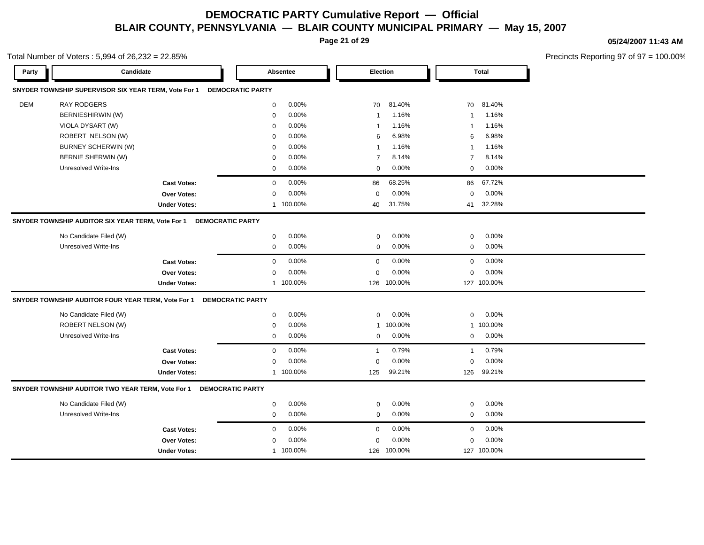**Page 21 of 29**

Total Number of Voters : 5,994 of 26,232 = 22.85%

#### **05/24/2007 11:43 AM**

| Party      | Candidate                                            |                     |                         | Absentee  | Election       |             |                | <b>Total</b> |  |
|------------|------------------------------------------------------|---------------------|-------------------------|-----------|----------------|-------------|----------------|--------------|--|
|            | SNYDER TOWNSHIP SUPERVISOR SIX YEAR TERM, Vote For 1 |                     | <b>DEMOCRATIC PARTY</b> |           |                |             |                |              |  |
| <b>DEM</b> | <b>RAY RODGERS</b>                                   |                     | $\mathbf 0$             | 0.00%     | 70             | 81.40%      | 70             | 81.40%       |  |
|            | BERNIESHIRWIN (W)                                    |                     | $\mathbf 0$             | 0.00%     | $\overline{1}$ | 1.16%       | $\mathbf{1}$   | 1.16%        |  |
|            | VIOLA DYSART (W)                                     |                     | $\mathbf 0$             | 0.00%     | $\overline{1}$ | 1.16%       | $\mathbf{1}$   | 1.16%        |  |
|            | ROBERT NELSON (W)                                    |                     | $\mathbf 0$             | 0.00%     | 6              | 6.98%       | 6              | 6.98%        |  |
|            | BURNEY SCHERWIN (W)                                  |                     | 0                       | 0.00%     | $\overline{1}$ | 1.16%       | $\mathbf{1}$   | 1.16%        |  |
|            | BERNIE SHERWIN (W)                                   |                     | 0                       | 0.00%     | $\overline{7}$ | 8.14%       | $\overline{7}$ | 8.14%        |  |
|            | <b>Unresolved Write-Ins</b>                          |                     | $\mathbf 0$             | 0.00%     | $\Omega$       | 0.00%       | $\mathbf 0$    | 0.00%        |  |
|            |                                                      | <b>Cast Votes:</b>  | $\mathbf 0$             | 0.00%     | 86             | 68.25%      | 86             | 67.72%       |  |
|            |                                                      | <b>Over Votes:</b>  | $\Omega$                | 0.00%     | $\mathbf 0$    | 0.00%       | $\mathbf 0$    | 0.00%        |  |
|            |                                                      | <b>Under Votes:</b> | $\mathbf{1}$            | 100.00%   | 40             | 31.75%      | 41             | 32.28%       |  |
|            | SNYDER TOWNSHIP AUDITOR SIX YEAR TERM, Vote For 1    |                     | <b>DEMOCRATIC PARTY</b> |           |                |             |                |              |  |
|            | No Candidate Filed (W)                               |                     | $\mathbf 0$             | 0.00%     | $\mathbf 0$    | 0.00%       | $\mathbf 0$    | 0.00%        |  |
|            | Unresolved Write-Ins                                 |                     | $\mathbf 0$             | 0.00%     | $\mathbf 0$    | 0.00%       | $\mathbf 0$    | 0.00%        |  |
|            |                                                      | <b>Cast Votes:</b>  | $\mathbf 0$             | 0.00%     | $\mathbf 0$    | 0.00%       | $\mathbf 0$    | 0.00%        |  |
|            |                                                      | Over Votes:         | $\mathbf 0$             | 0.00%     | $\mathbf 0$    | 0.00%       | $\mathbf 0$    | 0.00%        |  |
|            |                                                      | <b>Under Votes:</b> |                         | 1 100.00% | 126            | 100.00%     |                | 127 100.00%  |  |
|            | SNYDER TOWNSHIP AUDITOR FOUR YEAR TERM, Vote For 1   |                     | <b>DEMOCRATIC PARTY</b> |           |                |             |                |              |  |
|            | No Candidate Filed (W)                               |                     | $\mathbf 0$             | 0.00%     | $\mathbf 0$    | 0.00%       | $\mathbf 0$    | 0.00%        |  |
|            | ROBERT NELSON (W)                                    |                     | $\Omega$                | 0.00%     | $\mathbf{1}$   | 100.00%     |                | 1 100.00%    |  |
|            | <b>Unresolved Write-Ins</b>                          |                     | $\mathbf 0$             | 0.00%     | $\mathbf 0$    | 0.00%       | $\mathbf 0$    | 0.00%        |  |
|            |                                                      | <b>Cast Votes:</b>  | $\mathbf 0$             | 0.00%     | $\mathbf{1}$   | 0.79%       | $\mathbf{1}$   | 0.79%        |  |
|            |                                                      | <b>Over Votes:</b>  | 0                       | 0.00%     | $\mathbf 0$    | 0.00%       | $\mathbf 0$    | 0.00%        |  |
|            |                                                      | <b>Under Votes:</b> |                         | 1 100.00% | 125            | 99.21%      | 126            | 99.21%       |  |
|            | SNYDER TOWNSHIP AUDITOR TWO YEAR TERM, Vote For 1    |                     | <b>DEMOCRATIC PARTY</b> |           |                |             |                |              |  |
|            | No Candidate Filed (W)                               |                     | $\mathbf 0$             | 0.00%     | $\mathbf 0$    | 0.00%       | $\mathbf 0$    | 0.00%        |  |
|            | <b>Unresolved Write-Ins</b>                          |                     | $\mathbf 0$             | 0.00%     | $\mathbf 0$    | 0.00%       | $\mathbf 0$    | 0.00%        |  |
|            |                                                      | <b>Cast Votes:</b>  | $\Omega$                | 0.00%     | $\Omega$       | 0.00%       | $\mathbf 0$    | 0.00%        |  |
|            |                                                      | <b>Over Votes:</b>  | $\Omega$                | 0.00%     | $\mathbf 0$    | 0.00%       | $\mathbf 0$    | 0.00%        |  |
|            |                                                      | <b>Under Votes:</b> |                         | 1 100.00% |                | 126 100.00% |                | 127 100.00%  |  |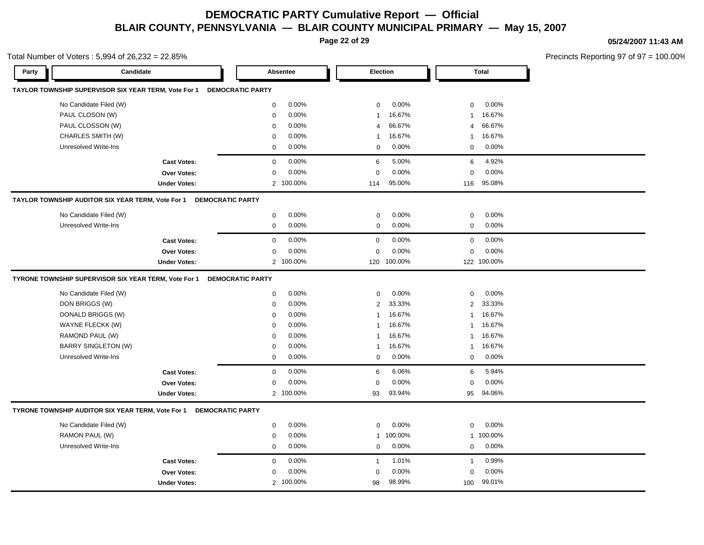**Page 22 of 29**

Total Number of Voters : 5,994 of 26,232 = 22.85%

#### **05/24/2007 11:43 AM**

| Party                                                | Candidate               | Absentee                | Election                          | <b>Total</b>             |  |
|------------------------------------------------------|-------------------------|-------------------------|-----------------------------------|--------------------------|--|
| TAYLOR TOWNSHIP SUPERVISOR SIX YEAR TERM, Vote For 1 |                         | <b>DEMOCRATIC PARTY</b> |                                   |                          |  |
| No Candidate Filed (W)                               |                         | 0.00%<br>$\mathbf 0$    | 0.00%<br>$\mathbf 0$              | 0.00%<br>$\mathbf 0$     |  |
| PAUL CLOSON (W)                                      |                         | 0.00%<br>$\mathbf 0$    | 16.67%<br>$\overline{1}$          | 16.67%<br>-1             |  |
| PAUL CLOSSON (W)                                     |                         | 0.00%<br>$\mathbf 0$    | 66.67%<br>$\overline{4}$          | 66.67%<br>4              |  |
| CHARLES SMITH (W)                                    |                         | 0.00%<br>$\mathbf 0$    | 16.67%<br>$\overline{\mathbf{1}}$ | 16.67%<br>$\mathbf{1}$   |  |
| <b>Unresolved Write-Ins</b>                          |                         | 0.00%<br>$\mathbf 0$    | 0.00%<br>$\mathbf 0$              | 0.00%<br>$\mathbf 0$     |  |
|                                                      | <b>Cast Votes:</b>      | 0.00%<br>$\mathbf 0$    | 5.00%<br>6                        | 4.92%<br>6               |  |
|                                                      | Over Votes:             | 0.00%<br>$\mathbf 0$    | 0.00%<br>$\mathbf 0$              | 0.00%<br>0               |  |
|                                                      | <b>Under Votes:</b>     | 2 100.00%               | 95.00%<br>114                     | 95.08%<br>116            |  |
| TAYLOR TOWNSHIP AUDITOR SIX YEAR TERM, Vote For 1    | <b>DEMOCRATIC PARTY</b> |                         |                                   |                          |  |
| No Candidate Filed (W)                               |                         | 0.00%<br>$\mathbf 0$    | 0.00%<br>$\mathbf 0$              | 0.00%<br>$\mathbf 0$     |  |
| <b>Unresolved Write-Ins</b>                          |                         | 0.00%<br>$\mathbf 0$    | $0.00\%$<br>$\mathbf 0$           | 0.00%<br>$\mathbf 0$     |  |
|                                                      | <b>Cast Votes:</b>      | 0.00%<br>$\mathbf 0$    | 0.00%<br>$\mathbf 0$              | 0.00%<br>$\mathbf 0$     |  |
|                                                      | Over Votes:             | 0.00%<br>$\mathbf 0$    | 0.00%<br>$\mathbf 0$              | 0.00%<br>$\mathbf 0$     |  |
|                                                      | <b>Under Votes:</b>     | 2 100.00%               | 100.00%<br>120                    | 122 100.00%              |  |
| TYRONE TOWNSHIP SUPERVISOR SIX YEAR TERM, Vote For 1 |                         | <b>DEMOCRATIC PARTY</b> |                                   |                          |  |
| No Candidate Filed (W)                               |                         | $\mathbf 0$<br>0.00%    | 0.00%<br>$\mathbf 0$              | $\mathbf 0$<br>0.00%     |  |
| DON BRIGGS (W)                                       |                         | $0.00\%$<br>0           | 33.33%<br>2                       | 33.33%<br>$\overline{2}$ |  |
| DONALD BRIGGS (W)                                    |                         | 0.00%<br>$\mathbf 0$    | 16.67%<br>$\overline{1}$          | 16.67%<br>$\mathbf{1}$   |  |
| WAYNE FLECKK (W)                                     |                         | 0.00%<br>$\mathbf 0$    | 16.67%<br>$\overline{1}$          | 16.67%<br>$\mathbf{1}$   |  |
| RAMOND PAUL (W)                                      |                         | $0.00\%$<br>$\mathbf 0$ | 16.67%<br>$\overline{1}$          | 16.67%<br>$\mathbf{1}$   |  |
| <b>BARRY SINGLETON (W)</b>                           |                         | 0.00%<br>$\mathbf 0$    | 16.67%<br>$\overline{1}$          | 16.67%<br>$\mathbf{1}$   |  |
| <b>Unresolved Write-Ins</b>                          |                         | 0.00%<br>$\mathbf 0$    | 0.00%<br>$\mathbf 0$              | 0.00%<br>$\mathbf 0$     |  |
|                                                      | <b>Cast Votes:</b>      | 0.00%<br>$\mathbf 0$    | 6.06%<br>6                        | 5.94%<br>6               |  |
|                                                      | <b>Over Votes:</b>      | 0.00%<br>$\mathbf 0$    | 0.00%<br>$\mathbf 0$              | 0.00%<br>$\mathbf 0$     |  |
|                                                      | <b>Under Votes:</b>     | 2 100.00%               | 93.94%<br>93                      | 94.06%<br>95             |  |
| TYRONE TOWNSHIP AUDITOR SIX YEAR TERM, Vote For 1    | <b>DEMOCRATIC PARTY</b> |                         |                                   |                          |  |
| No Candidate Filed (W)                               |                         | 0.00%<br>$\Omega$       | 0.00%<br>$\mathbf 0$              | 0.00%<br>$\mathbf 0$     |  |
| RAMON PAUL (W)                                       |                         | 0.00%<br>0              | 100.00%<br>$\mathbf{1}$           | 1 100.00%                |  |
| <b>Unresolved Write-Ins</b>                          |                         | $0.00\%$<br>0           | 0.00%<br>$\mathbf 0$              | 0.00%<br>0               |  |
|                                                      | <b>Cast Votes:</b>      | 0.00%<br>$\mathbf 0$    | 1.01%<br>$\mathbf{1}$             | 0.99%<br>$\mathbf{1}$    |  |
|                                                      | <b>Over Votes:</b>      | 0.00%<br>$\mathbf 0$    | 0.00%<br>$\mathbf 0$              | 0.00%<br>$\mathbf 0$     |  |
|                                                      | <b>Under Votes:</b>     | 2 100.00%               | 98.99%<br>98                      | 99.01%<br>100            |  |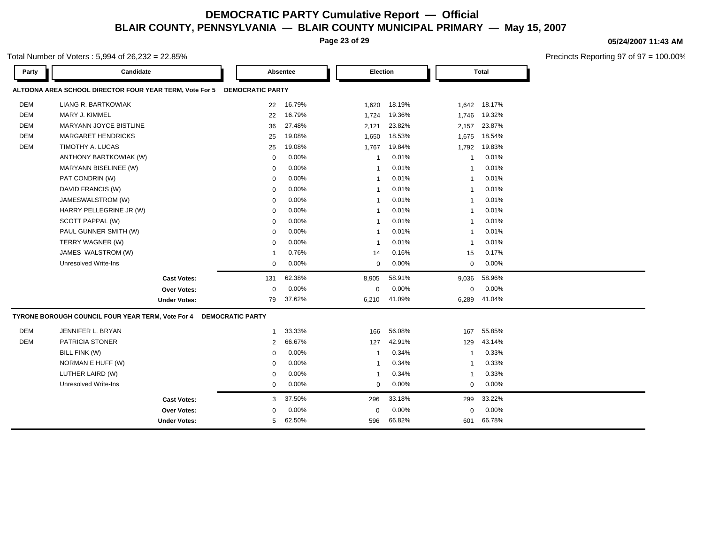**Page 23 of 29**

#### **05/24/2007 11:43 AM**

Precincts Reporting 97 of 97 = 100.00%

| Party      | Candidate                                               |                         | Absentee | <b>Election</b> |        |                | <b>Total</b> |  |
|------------|---------------------------------------------------------|-------------------------|----------|-----------------|--------|----------------|--------------|--|
|            | ALTOONA AREA SCHOOL DIRECTOR FOUR YEAR TERM, Vote For 5 | <b>DEMOCRATIC PARTY</b> |          |                 |        |                |              |  |
| <b>DEM</b> | LIANG R. BARTKOWIAK                                     | 22                      | 16.79%   | 1,620           | 18.19% | 1,642          | 18.17%       |  |
| <b>DEM</b> | MARY J. KIMMEL                                          | 22                      | 16.79%   | 1,724           | 19.36% | 1,746          | 19.32%       |  |
| <b>DEM</b> | MARYANN JOYCE BISTLINE                                  | 36                      | 27.48%   | 2,121           | 23.82% | 2,157          | 23.87%       |  |
| <b>DEM</b> | <b>MARGARET HENDRICKS</b>                               | 25                      | 19.08%   | 1,650           | 18.53% | 1,675          | 18.54%       |  |
| <b>DEM</b> | TIMOTHY A. LUCAS                                        | 25                      | 19.08%   | 1,767           | 19.84% | 1,792          | 19.83%       |  |
|            | ANTHONY BARTKOWIAK (W)                                  | $\mathbf 0$             | 0.00%    | $\overline{1}$  | 0.01%  | $\overline{1}$ | 0.01%        |  |
|            | MARYANN BISELINEE (W)                                   | $\mathbf 0$             | 0.00%    | $\overline{1}$  | 0.01%  | $\overline{1}$ | 0.01%        |  |
|            | PAT CONDRIN (W)                                         | $\mathbf 0$             | 0.00%    | $\overline{1}$  | 0.01%  | $\overline{1}$ | 0.01%        |  |
|            | DAVID FRANCIS (W)                                       | $\mathbf 0$             | 0.00%    | $\overline{1}$  | 0.01%  | $\mathbf{1}$   | 0.01%        |  |
|            | JAMESWALSTROM (W)                                       | 0                       | 0.00%    | $\overline{1}$  | 0.01%  | -1             | 0.01%        |  |
|            | HARRY PELLEGRINE JR (W)                                 | $\mathbf 0$             | 0.00%    | $\overline{1}$  | 0.01%  | $\mathbf{1}$   | 0.01%        |  |
|            | SCOTT PAPPAL (W)                                        | $\mathbf 0$             | 0.00%    | $\overline{1}$  | 0.01%  | $\overline{1}$ | 0.01%        |  |
|            | PAUL GUNNER SMITH (W)                                   | $\mathbf 0$             | 0.00%    | $\overline{1}$  | 0.01%  | $\overline{1}$ | 0.01%        |  |
|            | TERRY WAGNER (W)                                        | $\mathbf 0$             | 0.00%    | $\overline{1}$  | 0.01%  | $\mathbf{1}$   | 0.01%        |  |
|            | JAMES WALSTROM (W)                                      | $\mathbf{1}$            | 0.76%    | 14              | 0.16%  | 15             | 0.17%        |  |
|            | <b>Unresolved Write-Ins</b>                             | $\mathbf 0$             | 0.00%    | $\mathbf 0$     | 0.00%  | $\mathbf 0$    | 0.00%        |  |
|            | <b>Cast Votes:</b>                                      | 131                     | 62.38%   | 8,905           | 58.91% | 9,036          | 58.96%       |  |
|            | <b>Over Votes:</b>                                      | $\mathbf 0$             | 0.00%    | 0               | 0.00%  | 0              | 0.00%        |  |
|            | <b>Under Votes:</b>                                     | 79                      | 37.62%   | 6,210           | 41.09% | 6,289          | 41.04%       |  |
|            | TYRONE BOROUGH COUNCIL FOUR YEAR TERM, Vote For 4       | <b>DEMOCRATIC PARTY</b> |          |                 |        |                |              |  |
| DEM        | JENNIFER L. BRYAN                                       | $\mathbf{1}$            | 33.33%   | 166             | 56.08% | 167            | 55.85%       |  |
| <b>DEM</b> | PATRICIA STONER                                         | $\overline{2}$          | 66.67%   | 127             | 42.91% | 129            | 43.14%       |  |
|            | BILL FINK (W)                                           | $\Omega$                | 0.00%    | -1              | 0.34%  | $\mathbf{1}$   | 0.33%        |  |
|            | NORMAN E HUFF (W)                                       | 0                       | 0.00%    | $\overline{1}$  | 0.34%  | $\mathbf{1}$   | 0.33%        |  |
|            | LUTHER LAIRD (W)                                        | 0                       | 0.00%    | $\overline{1}$  | 0.34%  | $\overline{1}$ | 0.33%        |  |
|            | Unresolved Write-Ins                                    | $\mathbf 0$             | 0.00%    | $\mathbf 0$     | 0.00%  | $\mathbf 0$    | 0.00%        |  |
|            | <b>Cast Votes:</b>                                      | 3                       | 37.50%   | 296             | 33.18% | 299            | 33.22%       |  |
|            | <b>Over Votes:</b>                                      | $\mathbf 0$             | 0.00%    | $\mathbf 0$     | 0.00%  | $\mathbf 0$    | 0.00%        |  |
|            | <b>Under Votes:</b>                                     | 5                       | 62.50%   | 596             | 66.82% | 601            | 66.78%       |  |

Total Number of Voters : 5,994 of 26,232 = 22.85%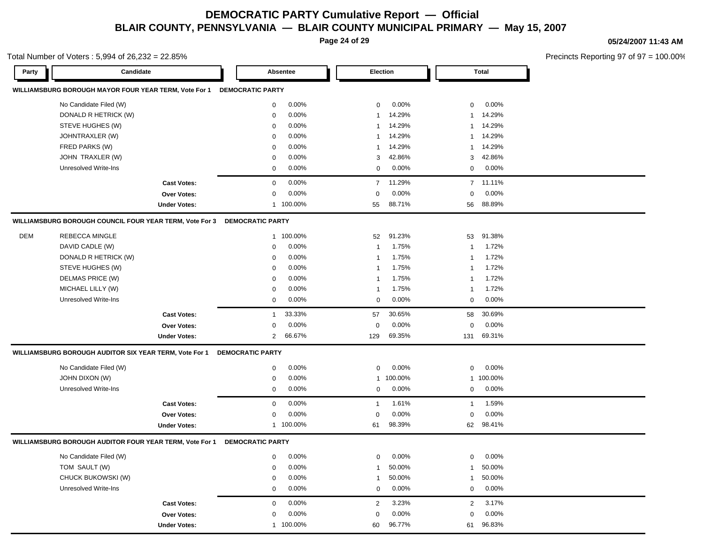**Page 24 of 29**

Total Number of Voters : 5,994 of 26,232 = 22.85%

#### **05/24/2007 11:43 AM**

| Party      | Candidate                                               |                     |                         | Absentee  |                | Election |                | Total     |
|------------|---------------------------------------------------------|---------------------|-------------------------|-----------|----------------|----------|----------------|-----------|
|            | WILLIAMSBURG BOROUGH MAYOR FOUR YEAR TERM, Vote For 1   |                     | <b>DEMOCRATIC PARTY</b> |           |                |          |                |           |
|            | No Candidate Filed (W)                                  |                     | 0                       | 0.00%     | 0              | 0.00%    | 0              | 0.00%     |
|            | DONALD R HETRICK (W)                                    |                     | 0                       | 0.00%     | -1             | 14.29%   | $\mathbf{1}$   | 14.29%    |
|            | STEVE HUGHES (W)                                        |                     | 0                       | 0.00%     | -1             | 14.29%   | 1              | 14.29%    |
|            | JOHNTRAXLER (W)                                         |                     | 0                       | 0.00%     | -1             | 14.29%   | 1              | 14.29%    |
|            | FRED PARKS (W)                                          |                     | 0                       | 0.00%     | -1             | 14.29%   | 1              | 14.29%    |
|            | JOHN TRAXLER (W)                                        |                     | 0                       | 0.00%     | 3              | 42.86%   | 3              | 42.86%    |
|            | <b>Unresolved Write-Ins</b>                             |                     | 0                       | 0.00%     | 0              | 0.00%    | 0              | 0.00%     |
|            |                                                         | <b>Cast Votes:</b>  | 0                       | 0.00%     | $\overline{7}$ | 11.29%   |                | 7 11.11%  |
|            |                                                         | <b>Over Votes:</b>  | 0                       | 0.00%     | $\mathbf 0$    | 0.00%    | 0              | 0.00%     |
|            |                                                         | <b>Under Votes:</b> | $\mathbf{1}$            | 100.00%   | 55             | 88.71%   | 56             | 88.89%    |
|            | WILLIAMSBURG BOROUGH COUNCIL FOUR YEAR TERM, Vote For 3 |                     | <b>DEMOCRATIC PARTY</b> |           |                |          |                |           |
| <b>DEM</b> | <b>REBECCA MINGLE</b>                                   |                     | 1                       | 100.00%   | 52             | 91.23%   | 53             | 91.38%    |
|            | DAVID CADLE (W)                                         |                     | 0                       | 0.00%     | $\mathbf{1}$   | 1.75%    | $\mathbf{1}$   | 1.72%     |
|            | DONALD R HETRICK (W)                                    |                     | $\mathbf 0$             | 0.00%     | -1             | 1.75%    | -1             | 1.72%     |
|            | STEVE HUGHES (W)                                        |                     | $\mathbf 0$             | 0.00%     | -1             | 1.75%    | -1             | 1.72%     |
|            | DELMAS PRICE (W)                                        |                     | 0                       | 0.00%     | $\mathbf{1}$   | 1.75%    | -1             | 1.72%     |
|            | MICHAEL LILLY (W)                                       |                     | 0                       | 0.00%     | -1             | 1.75%    | -1             | 1.72%     |
|            | <b>Unresolved Write-Ins</b>                             |                     | $\mathbf 0$             | 0.00%     | $\mathbf 0$    | $0.00\%$ | 0              | 0.00%     |
|            |                                                         | <b>Cast Votes:</b>  | -1                      | 33.33%    | 57             | 30.65%   | 58             | 30.69%    |
|            |                                                         | Over Votes:         | 0                       | 0.00%     | 0              | 0.00%    | 0              | 0.00%     |
|            |                                                         | <b>Under Votes:</b> | $\overline{2}$          | 66.67%    | 129            | 69.35%   | 131            | 69.31%    |
|            | WILLIAMSBURG BOROUGH AUDITOR SIX YEAR TERM, Vote For 1  |                     | <b>DEMOCRATIC PARTY</b> |           |                |          |                |           |
|            | No Candidate Filed (W)                                  |                     | 0                       | 0.00%     | $\mathbf 0$    | 0.00%    | 0              | $0.00\%$  |
|            | <b>JOHN DIXON (W)</b>                                   |                     | 0                       | 0.00%     | 1              | 100.00%  |                | 1 100.00% |
|            | Unresolved Write-Ins                                    |                     | 0                       | 0.00%     | 0              | $0.00\%$ | 0              | $0.00\%$  |
|            |                                                         | <b>Cast Votes:</b>  | $\mathbf 0$             | 0.00%     | $\overline{1}$ | 1.61%    | $\mathbf{1}$   | 1.59%     |
|            |                                                         | <b>Over Votes:</b>  | 0                       | 0.00%     | $\mathbf 0$    | 0.00%    | 0              | 0.00%     |
|            |                                                         | <b>Under Votes:</b> |                         | 1 100.00% | 61             | 98.39%   | 62             | 98.41%    |
|            | WILLIAMSBURG BOROUGH AUDITOR FOUR YEAR TERM, Vote For 1 |                     | <b>DEMOCRATIC PARTY</b> |           |                |          |                |           |
|            | No Candidate Filed (W)                                  |                     | 0                       | 0.00%     | $\mathbf 0$    | 0.00%    | 0              | $0.00\%$  |
|            | TOM SAULT (W)                                           |                     | 0                       | 0.00%     | -1             | 50.00%   | 1              | 50.00%    |
|            | CHUCK BUKOWSKI (W)                                      |                     | 0                       | 0.00%     |                | 50.00%   | 1              | 50.00%    |
|            | <b>Unresolved Write-Ins</b>                             |                     | 0                       | 0.00%     | $\mathbf 0$    | 0.00%    | 0              | 0.00%     |
|            |                                                         | <b>Cast Votes:</b>  | 0                       | 0.00%     | $\overline{2}$ | 3.23%    | $\overline{2}$ | 3.17%     |
|            |                                                         | Over Votes:         | 0                       | 0.00%     | $\mathbf 0$    | 0.00%    | 0              | 0.00%     |
|            |                                                         | <b>Under Votes:</b> | $\mathbf{1}$            | 100.00%   | 60             | 96.77%   | 61             | 96.83%    |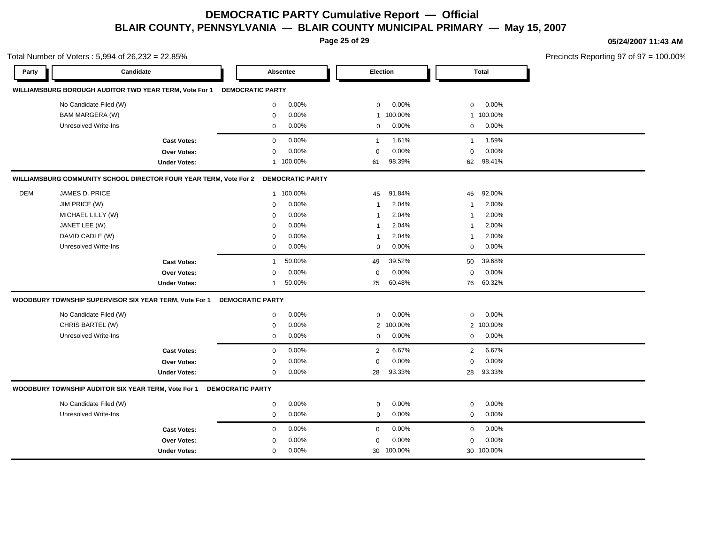**Page 25 of 29**

**05/24/2007 11:43 AM**

|            | Total Number of Voters: 5,994 of 26,232 = 22.85%                                   |                          |                          |                            | Precincts Reporting 97 of 97 = 100.00% |
|------------|------------------------------------------------------------------------------------|--------------------------|--------------------------|----------------------------|----------------------------------------|
| Party      | Candidate                                                                          | Absentee                 | <b>Election</b>          | Total                      |                                        |
|            | WILLIAMSBURG BOROUGH AUDITOR TWO YEAR TERM, Vote For 1 DEMOCRATIC PARTY            |                          |                          |                            |                                        |
|            | No Candidate Filed (W)                                                             | 0.00%<br>$\mathbf 0$     | 0.00%<br>$\mathbf 0$     | $0.00\%$<br>$\mathbf{0}$   |                                        |
|            | <b>BAM MARGERA (W)</b>                                                             | 0.00%<br>$\mathbf 0$     | 1 100.00%                | 1 100.00%                  |                                        |
|            | Unresolved Write-Ins                                                               | 0.00%<br>$\mathbf 0$     | 0.00%<br>$\mathbf 0$     | $0\qquad 0.00\%$           |                                        |
|            | <b>Cast Votes:</b>                                                                 | 0.00%<br>$\overline{0}$  | 1.61%<br>$\mathbf{1}$    | 1.59%<br>$\overline{1}$    |                                        |
|            | Over Votes:                                                                        | 0.00%<br>$\Omega$        | 0.00%<br>$\Omega$        | $0.00\%$<br>$\mathbf 0$    |                                        |
|            | <b>Under Votes:</b>                                                                | 1 100.00%                | 98.39%<br>61             | 62 98.41%                  |                                        |
|            | WILLIAMSBURG COMMUNITY SCHOOL DIRECTOR FOUR YEAR TERM, Vote For 2 DEMOCRATIC PARTY |                          |                          |                            |                                        |
| <b>DEM</b> | JAMES D. PRICE                                                                     | 1 100.00%                | 91.84%<br>45             | 92.00%<br>46               |                                        |
|            | JIM PRICE (W)                                                                      | 0.00%<br>$\mathbf 0$     | 2.04%<br>1               | 2.00%<br>$\overline{1}$    |                                        |
|            | MICHAEL LILLY (W)                                                                  | 0.00%<br>$\Omega$        | 2.04%<br>-1              | 2.00%<br>$\overline{1}$    |                                        |
|            | JANET LEE (W)                                                                      | 0.00%<br>$\Omega$        | 2.04%<br>1               | 2.00%<br>$\overline{1}$    |                                        |
|            | DAVID CADLE (W)                                                                    | 0.00%<br>$\Omega$        | 2.04%<br>-1              | 2.00%<br>$\overline{1}$    |                                        |
|            | <b>Unresolved Write-Ins</b>                                                        | 0.00%<br>$\mathbf{0}$    | 0.00%<br>$\mathbf{0}$    | $0\qquad 0.00\%$           |                                        |
|            | <b>Cast Votes:</b>                                                                 | 50.00%<br>$\overline{1}$ | 39.52%<br>49             | 50 39.68%                  |                                        |
|            | Over Votes:                                                                        | 0.00%<br>$\Omega$        | 0.00%<br>$\Omega$        | 0.00%<br>$\Omega$          |                                        |
|            | <b>Under Votes:</b>                                                                | 50.00%<br>$\mathbf 1$    | 60.48%<br>75             | 76 60.32%                  |                                        |
|            | WOODBURY TOWNSHIP SUPERVISOR SIX YEAR TERM, Vote For 1                             | <b>DEMOCRATIC PARTY</b>  |                          |                            |                                        |
|            | No Candidate Filed (W)                                                             | 0.00%<br>0               | 0.00%<br>$\mathbf{0}$    | $0.00\%$<br>$\mathbf{0}$   |                                        |
|            | CHRIS BARTEL (W)                                                                   | 0.00%<br>$\mathbf 0$     | 2 100.00%                | 2 100.00%                  |                                        |
|            | Unresolved Write-Ins                                                               | 0.00%<br>$\mathbf{0}$    | $0.00\%$<br>$\mathbf{0}$ | $0\quad 0.00\%$            |                                        |
|            | <b>Cast Votes:</b>                                                                 | 0.00%<br>$\mathbf 0$     | $2^{\circ}$<br>6.67%     | 2 6.67%                    |                                        |
|            | Over Votes:                                                                        | 0.00%<br>0               | 0.00%<br>$\Omega$        | 0.00%<br>$\mathbf 0$       |                                        |
|            | <b>Under Votes:</b>                                                                | $0.00\%$<br>$\mathbf{0}$ | 93.33%<br>28             | 28 93.33%                  |                                        |
|            | WOODBURY TOWNSHIP AUDITOR SIX YEAR TERM, Vote For 1                                | <b>DEMOCRATIC PARTY</b>  |                          |                            |                                        |
|            | No Candidate Filed (W)                                                             | 0.00%<br>$\mathbf 0$     | 0.00%<br>$\mathbf 0$     | $0.00\%$<br>$\mathbf 0$    |                                        |
|            | Unresolved Write-Ins                                                               | $0.00\%$<br>$\mathbf 0$  | $0.00\%$<br>$\mathbf 0$  | $0\quad 0.00\%$            |                                        |
|            | <b>Cast Votes:</b>                                                                 | 0.00%<br>$\mathbf 0$     | 0.00%<br>$\mathbf{0}$    | $0.00\%$<br>$\overline{0}$ |                                        |
|            | Over Votes:                                                                        | 0.00%<br>0               | 0.00%<br>$\Omega$        | 0.00%<br>0                 |                                        |
|            | <b>Under Votes:</b>                                                                | 0.00%<br>$\mathbf 0$     | 30 100.00%               | 30 100.00%                 |                                        |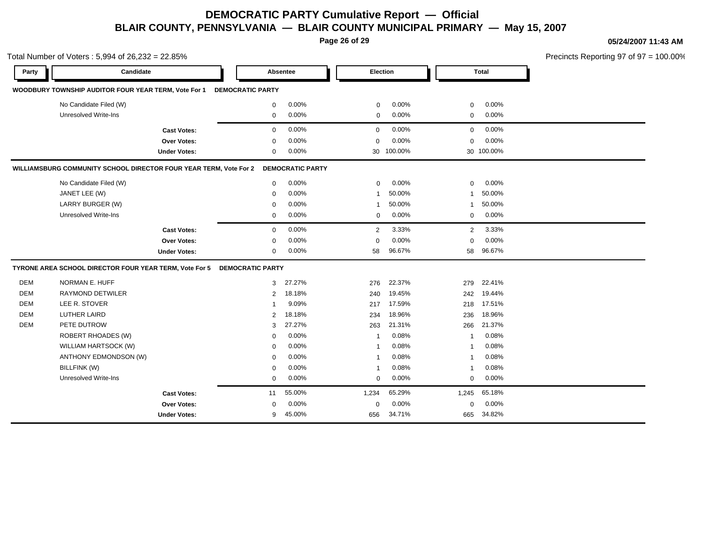**Page 26 of 29**

Total Number of Voters : 5,994 of 26,232 = 22.85%

#### **05/24/2007 11:43 AM**

| Party      | Candidate                                                         |                     |                         | Absentee                | <b>Election</b> |         |              | <b>Total</b> |  |
|------------|-------------------------------------------------------------------|---------------------|-------------------------|-------------------------|-----------------|---------|--------------|--------------|--|
|            | WOODBURY TOWNSHIP AUDITOR FOUR YEAR TERM, Vote For 1              |                     | <b>DEMOCRATIC PARTY</b> |                         |                 |         |              |              |  |
|            | No Candidate Filed (W)                                            |                     | 0                       | 0.00%                   | 0               | 0.00%   | $\mathbf 0$  | 0.00%        |  |
|            | <b>Unresolved Write-Ins</b>                                       |                     | $\mathbf 0$             | 0.00%                   | $\mathbf 0$     | 0.00%   | $\mathbf 0$  | 0.00%        |  |
|            |                                                                   | <b>Cast Votes:</b>  | $\Omega$                | 0.00%                   | 0               | 0.00%   | $\mathbf 0$  | 0.00%        |  |
|            |                                                                   | Over Votes:         | $\Omega$                | 0.00%                   | 0               | 0.00%   | $\mathbf 0$  | 0.00%        |  |
|            |                                                                   | <b>Under Votes:</b> | 0                       | 0.00%                   | 30              | 100.00% |              | 30 100.00%   |  |
|            | WILLIAMSBURG COMMUNITY SCHOOL DIRECTOR FOUR YEAR TERM, Vote For 2 |                     |                         | <b>DEMOCRATIC PARTY</b> |                 |         |              |              |  |
|            | No Candidate Filed (W)                                            |                     | $\mathbf 0$             | 0.00%                   | $\mathbf 0$     | 0.00%   | $\mathbf 0$  | 0.00%        |  |
|            | JANET LEE (W)                                                     |                     | $\mathbf 0$             | 0.00%                   | -1              | 50.00%  | 1            | 50.00%       |  |
|            | LARRY BURGER (W)                                                  |                     | $\Omega$                | 0.00%                   | 1               | 50.00%  | 1            | 50.00%       |  |
|            | <b>Unresolved Write-Ins</b>                                       |                     | 0                       | 0.00%                   | $\mathbf 0$     | 0.00%   | $\mathbf 0$  | 0.00%        |  |
|            |                                                                   | <b>Cast Votes:</b>  | $\mathbf 0$             | 0.00%                   | $\overline{2}$  | 3.33%   | 2            | 3.33%        |  |
|            |                                                                   | Over Votes:         | $\mathbf 0$             | 0.00%                   | 0               | 0.00%   | $\mathbf 0$  | 0.00%        |  |
|            |                                                                   | <b>Under Votes:</b> | $\mathbf 0$             | 0.00%                   | 58              | 96.67%  | 58           | 96.67%       |  |
|            | TYRONE AREA SCHOOL DIRECTOR FOUR YEAR TERM, Vote For 5            |                     | <b>DEMOCRATIC PARTY</b> |                         |                 |         |              |              |  |
| <b>DEM</b> | <b>NORMAN E. HUFF</b>                                             |                     | 3                       | 27.27%                  | 276             | 22.37%  | 279          | 22.41%       |  |
| <b>DEM</b> | <b>RAYMOND DETWILER</b>                                           |                     | 2                       | 18.18%                  | 240             | 19.45%  | 242          | 19.44%       |  |
| <b>DEM</b> | LEE R. STOVER                                                     |                     | -1                      | 9.09%                   | 217             | 17.59%  | 218          | 17.51%       |  |
| <b>DEM</b> | <b>LUTHER LAIRD</b>                                               |                     | 2                       | 18.18%                  | 234             | 18.96%  | 236          | 18.96%       |  |
| <b>DEM</b> | PETE DUTROW                                                       |                     | 3                       | 27.27%                  | 263             | 21.31%  | 266          | 21.37%       |  |
|            | <b>ROBERT RHOADES (W)</b>                                         |                     | $\mathbf 0$             | 0.00%                   | $\mathbf{1}$    | 0.08%   | 1            | 0.08%        |  |
|            | WILLIAM HARTSOCK (W)                                              |                     | $\mathbf 0$             | 0.00%                   | 1               | 0.08%   | $\mathbf{1}$ | 0.08%        |  |
|            | ANTHONY EDMONDSON (W)                                             |                     | $\mathbf 0$             | 0.00%                   | $\mathbf{1}$    | 0.08%   | $\mathbf{1}$ | 0.08%        |  |
|            | BILLFINK (W)                                                      |                     | $\Omega$                | 0.00%                   | -1              | 0.08%   | 1            | 0.08%        |  |
|            | Unresolved Write-Ins                                              |                     | 0                       | 0.00%                   | $\mathbf 0$     | 0.00%   | 0            | 0.00%        |  |
|            |                                                                   | <b>Cast Votes:</b>  | 11                      | 55.00%                  | 1,234           | 65.29%  | 1,245        | 65.18%       |  |
|            |                                                                   | <b>Over Votes:</b>  | $\mathbf 0$             | 0.00%                   | 0               | 0.00%   | $\mathbf 0$  | 0.00%        |  |
|            |                                                                   | <b>Under Votes:</b> | 9                       | 45.00%                  | 656             | 34.71%  | 665          | 34.82%       |  |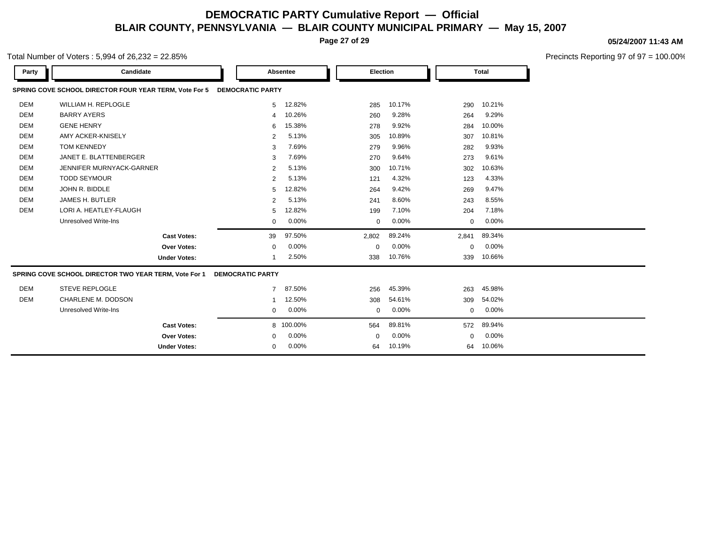**Page 27 of 29**

### **05/24/2007 11:43 AM**

| Total Number of Voters : 5,994 of 26,232 = 22.85% |
|---------------------------------------------------|
|---------------------------------------------------|

| Party      | Candidate                                              |                         | Absentee  | Election    |        | Total       |        |
|------------|--------------------------------------------------------|-------------------------|-----------|-------------|--------|-------------|--------|
|            | SPRING COVE SCHOOL DIRECTOR FOUR YEAR TERM, Vote For 5 | <b>DEMOCRATIC PARTY</b> |           |             |        |             |        |
| DEM        | <b>WILLIAM H. REPLOGLE</b>                             | 5                       | 12.82%    | 285         | 10.17% | 290         | 10.21% |
| <b>DEM</b> | <b>BARRY AYERS</b>                                     | 4                       | 10.26%    | 260         | 9.28%  | 264         | 9.29%  |
| <b>DEM</b> | <b>GENE HENRY</b>                                      | 6                       | 15.38%    | 278         | 9.92%  | 284         | 10.00% |
| <b>DEM</b> | AMY ACKER-KNISELY                                      | 2                       | 5.13%     | 305         | 10.89% | 307         | 10.81% |
| <b>DEM</b> | <b>TOM KENNEDY</b>                                     | 3                       | 7.69%     | 279         | 9.96%  | 282         | 9.93%  |
| <b>DEM</b> | JANET E. BLATTENBERGER                                 | 3                       | 7.69%     | 270         | 9.64%  | 273         | 9.61%  |
| <b>DEM</b> | JENNIFER MURNYACK-GARNER                               | 2                       | 5.13%     | 300         | 10.71% | 302         | 10.63% |
| <b>DEM</b> | <b>TODD SEYMOUR</b>                                    | 2                       | 5.13%     | 121         | 4.32%  | 123         | 4.33%  |
| <b>DEM</b> | JOHN R. BIDDLE                                         | 5                       | 12.82%    | 264         | 9.42%  | 269         | 9.47%  |
| <b>DEM</b> | JAMES H. BUTLER                                        | 2                       | 5.13%     | 241         | 8.60%  | 243         | 8.55%  |
| DEM        | LORI A. HEATLEY-FLAUGH                                 | 5                       | 12.82%    | 199         | 7.10%  | 204         | 7.18%  |
|            | <b>Unresolved Write-Ins</b>                            | 0                       | 0.00%     | 0           | 0.00%  | 0           | 0.00%  |
|            | <b>Cast Votes:</b>                                     | 39                      | 97.50%    | 2,802       | 89.24% | 2,841       | 89.34% |
|            | <b>Over Votes:</b>                                     | 0                       | 0.00%     | $\mathbf 0$ | 0.00%  | $\mathbf 0$ | 0.00%  |
|            | <b>Under Votes:</b>                                    |                         | 2.50%     | 338         | 10.76% | 339         | 10.66% |
|            | SPRING COVE SCHOOL DIRECTOR TWO YEAR TERM, Vote For 1  | <b>DEMOCRATIC PARTY</b> |           |             |        |             |        |
| DEM        | <b>STEVE REPLOGLE</b>                                  | $7^{\circ}$             | 87.50%    | 256         | 45.39% | 263         | 45.98% |
| <b>DEM</b> | CHARLENE M. DODSON                                     | 1                       | 12.50%    | 308         | 54.61% | 309         | 54.02% |
|            | Unresolved Write-Ins                                   | $\mathbf 0$             | 0.00%     | 0           | 0.00%  | 0           | 0.00%  |
|            | <b>Cast Votes:</b>                                     |                         | 8 100.00% | 564         | 89.81% | 572         | 89.94% |
|            | <b>Over Votes:</b>                                     | 0                       | 0.00%     | $\mathbf 0$ | 0.00%  | $\mathbf 0$ | 0.00%  |
|            | <b>Under Votes:</b>                                    | 0                       | 0.00%     | 64          | 10.19% | 64          | 10.06% |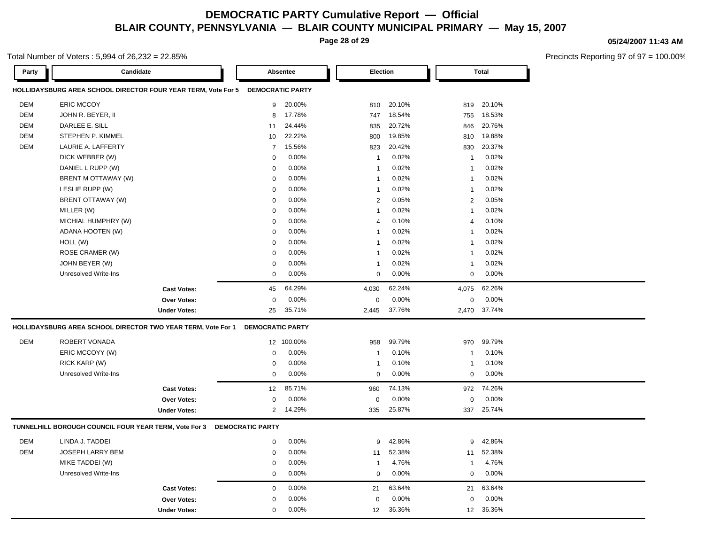**Page 28 of 29**

#### **05/24/2007 11:43 AM**

Precincts Reporting 97 of 97 = 100.00%

#### Total Number of Voters : 5,994 of 26,232 = 22.85%

| Party      | Candidate                                             |                                                                                |                         | Absentee |                         | Election |                         | <b>Total</b> |
|------------|-------------------------------------------------------|--------------------------------------------------------------------------------|-------------------------|----------|-------------------------|----------|-------------------------|--------------|
|            |                                                       | HOLLIDAYSBURG AREA SCHOOL DIRECTOR FOUR YEAR TERM, Vote For 5 DEMOCRATIC PARTY |                         |          |                         |          |                         |              |
| <b>DEM</b> | <b>ERIC MCCOY</b>                                     |                                                                                | 9                       | 20.00%   | 810                     | 20.10%   | 819                     | 20.10%       |
| <b>DEM</b> | JOHN R. BEYER, II                                     |                                                                                | 8                       | 17.78%   | 747                     | 18.54%   | 755                     | 18.53%       |
| <b>DEM</b> | DARLEE E. SILL                                        |                                                                                | 11                      | 24.44%   | 835                     | 20.72%   | 846                     | 20.76%       |
| <b>DEM</b> | STEPHEN P. KIMMEL                                     |                                                                                | 10                      | 22.22%   | 800                     | 19.85%   | 810                     | 19.88%       |
| <b>DEM</b> | LAURIE A. LAFFERTY                                    |                                                                                | $\overline{7}$          | 15.56%   | 823                     | 20.42%   | 830                     | 20.37%       |
|            | DICK WEBBER (W)                                       |                                                                                | 0                       | 0.00%    | $\overline{1}$          | 0.02%    | $\overline{\mathbf{1}}$ | 0.02%        |
|            | DANIEL L RUPP (W)                                     |                                                                                | $\mathbf 0$             | 0.00%    | $\overline{1}$          | 0.02%    | 1                       | 0.02%        |
|            | BRENT M OTTAWAY (W)                                   |                                                                                | $\mathbf 0$             | 0.00%    | $\overline{1}$          | 0.02%    | $\overline{1}$          | 0.02%        |
|            | LESLIE RUPP (W)                                       |                                                                                | $\mathbf 0$             | 0.00%    | $\overline{1}$          | 0.02%    | $\overline{1}$          | 0.02%        |
|            | BRENT OTTAWAY (W)                                     |                                                                                | $\mathbf 0$             | 0.00%    | $\overline{2}$          | 0.05%    | $\overline{2}$          | 0.05%        |
|            | MILLER (W)                                            |                                                                                | $\mathbf 0$             | 0.00%    | $\overline{\mathbf{1}}$ | 0.02%    | 1                       | 0.02%        |
|            | MICHIAL HUMPHRY (W)                                   |                                                                                | $\mathbf 0$             | 0.00%    | $\overline{4}$          | 0.10%    | 4                       | 0.10%        |
|            | ADANA HOOTEN (W)                                      |                                                                                | $\mathbf 0$             | 0.00%    | $\overline{\mathbf{1}}$ | 0.02%    | $\overline{1}$          | 0.02%        |
|            | HOLL (W)                                              |                                                                                | $\mathbf 0$             | 0.00%    | $\overline{1}$          | 0.02%    | $\overline{\mathbf{1}}$ | 0.02%        |
|            | ROSE CRAMER (W)                                       |                                                                                | $\mathbf 0$             | $0.00\%$ | $\overline{\mathbf{1}}$ | 0.02%    | 1                       | 0.02%        |
|            | JOHN BEYER (W)                                        |                                                                                | $\mathbf 0$             | 0.00%    | $\overline{1}$          | 0.02%    | 1                       | 0.02%        |
|            | <b>Unresolved Write-Ins</b>                           |                                                                                | $\mathbf 0$             | 0.00%    | $\Omega$                | 0.00%    | $\mathbf 0$             | 0.00%        |
|            |                                                       | <b>Cast Votes:</b>                                                             | 45                      | 64.29%   | 4,030                   | 62.24%   | 4,075                   | 62.26%       |
|            |                                                       | <b>Over Votes:</b>                                                             | $\mathbf 0$             | 0.00%    | $\mathbf 0$             | 0.00%    | $\pmb{0}$               | 0.00%        |
|            |                                                       | <b>Under Votes:</b>                                                            | 25                      | 35.71%   | 2,445                   | 37.76%   | 2,470                   | 37.74%       |
|            |                                                       | HOLLIDAYSBURG AREA SCHOOL DIRECTOR TWO YEAR TERM, Vote For 1                   | <b>DEMOCRATIC PARTY</b> |          |                         |          |                         |              |
| <b>DEM</b> | ROBERT VONADA                                         |                                                                                | 12 <sup>°</sup>         | 100.00%  | 958                     | 99.79%   | 970                     | 99.79%       |
|            | ERIC MCCOYY (W)                                       |                                                                                | $\mathbf 0$             | 0.00%    | $\overline{1}$          | 0.10%    | 1                       | 0.10%        |
|            | RICK KARP (W)                                         |                                                                                | $\mathbf 0$             | 0.00%    | $\overline{1}$          | 0.10%    | $\overline{1}$          | 0.10%        |
|            | <b>Unresolved Write-Ins</b>                           |                                                                                | $\mathbf 0$             | 0.00%    | $\mathbf 0$             | 0.00%    | $\mathbf 0$             | 0.00%        |
|            |                                                       | <b>Cast Votes:</b>                                                             | 12                      | 85.71%   | 960                     | 74.13%   | 972                     | 74.26%       |
|            |                                                       | <b>Over Votes:</b>                                                             | $\Omega$                | 0.00%    | $\Omega$                | 0.00%    | $\mathbf 0$             | 0.00%        |
|            |                                                       | <b>Under Votes:</b>                                                            | $\overline{2}$          | 14.29%   | 335                     | 25.87%   | 337                     | 25.74%       |
|            | TUNNELHILL BOROUGH COUNCIL FOUR YEAR TERM, Vote For 3 |                                                                                | <b>DEMOCRATIC PARTY</b> |          |                         |          |                         |              |
| <b>DEM</b> | LINDA J. TADDEI                                       |                                                                                | $\mathbf 0$             | 0.00%    | 9                       | 42.86%   | 9                       | 42.86%       |
| <b>DEM</b> | JOSEPH LARRY BEM                                      |                                                                                | $\mathbf 0$             | $0.00\%$ | 11                      | 52.38%   | 11                      | 52.38%       |
|            | MIKE TADDEI (W)                                       |                                                                                | $\mathbf 0$             | 0.00%    | $\overline{1}$          | 4.76%    | 1                       | 4.76%        |
|            | <b>Unresolved Write-Ins</b>                           |                                                                                | $\mathbf 0$             | 0.00%    | $\mathbf 0$             | 0.00%    | $\mathbf 0$             | 0.00%        |
|            |                                                       | <b>Cast Votes:</b>                                                             | $\mathbf 0$             | 0.00%    | 21                      | 63.64%   | 21                      | 63.64%       |
|            |                                                       | <b>Over Votes:</b>                                                             | $\mathbf 0$             | 0.00%    | $\Omega$                | 0.00%    | $\mathbf 0$             | 0.00%        |
|            |                                                       | <b>Under Votes:</b>                                                            | $\mathbf 0$             | 0.00%    | 12                      | 36.36%   | 12                      | 36.36%       |
|            |                                                       |                                                                                |                         |          |                         |          |                         |              |